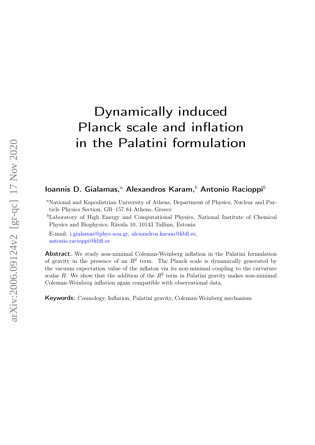# Dynamically induced Planck scale and inflation in the Palatini formulation

# Ioannis D. Gialamas,<sup>a</sup> Alexandros Karam,<sup>b</sup> Antonio Racioppi<sup>b</sup>

<sup>a</sup>National and Kapodistrian University of Athens, Department of Physics, Nuclear and Particle Physics Section, GR–157 84 Athens, Greece

<sup>b</sup>Laboratory of High Energy and Computational Physics, National Institute of Chemical Physics and Biophysics, Rävala 10, 10143 Tallinn, Estonia

E-mail: [i.gialamas@phys.uoa.gr,](mailto:i.gialamas@phys.uoa.gr) [alexandros.karam@kbfi.ee,](mailto:alexandros.karam@kbfi.ee) [antonio.racioppi@kbfi.ee](mailto:antonio.racioppi@kbfi.ee)

Abstract. We study non-minimal Coleman-Weinberg inflation in the Palatini formulation of gravity in the presence of an  $R^2$  term. The Planck scale is dynamically generated by the vacuum expectation value of the inflaton via its non-minimal coupling to the curvature scalar R. We show that the addition of the  $R^2$  term in Palatini gravity makes non-minimal Coleman-Weinberg inflation again compatible with observational data.

Keywords: Cosmology, Inflation, Palatini gravity, Coleman-Weinberg mechanism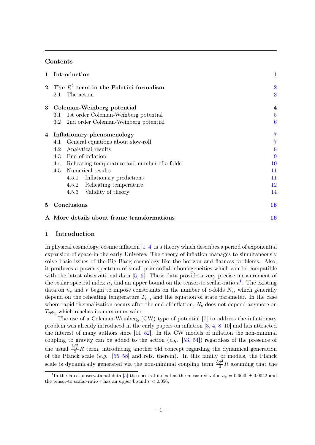# Contents

| $\mathbf{1}$ | Introduction                                    | 1                       |
|--------------|-------------------------------------------------|-------------------------|
|              | 2 The $R^2$ term in the Palatini formalism      | $\overline{\mathbf{2}}$ |
|              | The action<br>2.1                               | 3                       |
|              | 3 Coleman-Weinberg potential                    | $\overline{\mathbf{4}}$ |
|              | 1st order Coleman-Weinberg potential<br>3.1     | $\overline{5}$          |
|              | 3.2<br>2nd order Coleman-Weinberg potential     | 6                       |
|              | 4 Inflationary phenomenology                    | 7                       |
|              | General equations about slow-roll<br>4.1        |                         |
|              | Analytical results<br>4.2                       | 8                       |
|              | 4.3 End of inflation                            | 9                       |
|              | 4.4 Reheating temperature and number of e-folds | 10                      |
|              | Numerical results<br>4.5                        | 11                      |
|              | 4.5.1 Inflationary predictions                  | 11                      |
|              | 4.5.2 Reheating temperature                     | 12                      |
|              | 4.5.3 Validity of theory                        | 14                      |
| 5            | Conclusions                                     | 16                      |
|              | A More details about frame transformations      | <b>16</b>               |

# <span id="page-1-0"></span>1 Introduction

In physical cosmology, cosmic inflation  $[1-4]$  $[1-4]$  is a theory which describes a period of exponential expansion of space in the early Universe. The theory of inflation manages to simultaneously solve basic issues of the Big Bang cosmology like the horizon and flatness problems. Also, it produces a power spectrum of small primordial inhomogeneities which can be compatible with the latest observational data [\[5,](#page-18-2) [6\]](#page-18-3). These data provide a very precise measurement of the scalar spectral index  $n_s$  and an upper bound on the tensor-to scalar-ratio  $r<sup>1</sup>$  $r<sup>1</sup>$  $r<sup>1</sup>$ . The existing data on  $n_s$  and r begin to impose constraints on the number of e-folds  $N_e$ , which generally depend on the reheating temperature  $T_{\text{reh}}$  and the equation of state parameter. In the case where rapid thermalization occurs after the end of inflation,  $N_e$  does not depend anymore on  $T_{\rm reh}$ , which reaches its maximum value.

The use of a Coleman-Weinberg (CW) type of potential [\[7\]](#page-18-4) to address the inflationary problem was already introduced in the early papers on inflation [\[3,](#page-18-5) [4,](#page-18-1) [8–](#page-18-6)[10\]](#page-18-7) and has attracted the interest of many authors since [\[11–](#page-18-8)[52\]](#page-20-0). In the CW models of inflation the non-minimal coupling to gravity can be added to the action (e.g. [\[53,](#page-20-1) [54\]](#page-20-2)) regardless of the presence of the usual  $\frac{M_P^2}{2}R$  term, introducing another old concept regarding the dynamical generation of the Planck scale (e.g. [\[55–](#page-20-3)[58\]](#page-20-4) and refs. therein). In this family of models, the Planck scale is dynamically generated via the non-minimal coupling term  $\frac{\xi \phi^2}{2} R$  assuming that the

<span id="page-1-1"></span><sup>&</sup>lt;sup>1</sup>In the latest observational data [\[5\]](#page-18-2) the spectral index has the measured value  $n_s = 0.9649 \pm 0.0042$  and the tensor-to scalar-ratio r has an upper bound  $r < 0.056$ .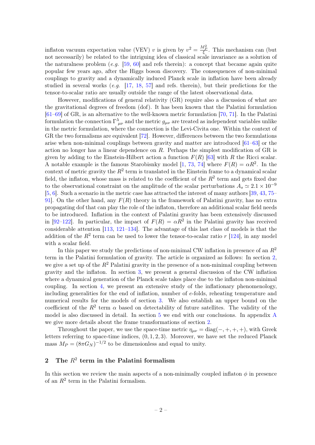inflaton vacuum expectation value (VEV) v is given by  $v^2 = \frac{M_P^2}{\xi}$ . This mechanism can (but not necessarily) be related to the intriguing idea of classical scale invariance as a solution of the naturalness problem  $(e.g. 59, 60]$  $(e.g. 59, 60]$  and refs therein): a concept that became again quite popular few years ago, after the Higgs boson discovery. The consequences of non-minimal couplings to gravity and a dynamically induced Planck scale in inflation have been already studied in several works  $(e.g. \t[17, 18, 57]$  $(e.g. \t[17, 18, 57]$  $(e.g. \t[17, 18, 57]$  $(e.g. \t[17, 18, 57]$  $(e.g. \t[17, 18, 57]$  $(e.g. \t[17, 18, 57]$  and refs. therein), but their predictions for the tensor-to-scalar ratio are usually outside the range of the latest observational data.

However, modifications of general relativity (GR) require also a discussion of what are the gravitational degrees of freedom (dof). It has been known that the Palatini formulation [\[61](#page-21-0)[–69\]](#page-21-1) of GR, is an alternative to the well-known metric formulation [\[70,](#page-21-2) [71\]](#page-21-3). In the Palatini formulation the connection  $\Gamma^{\lambda}_{\mu\nu}$  and the metric  $g_{\mu\nu}$  are treated as independent variables unlike in the metric formulation, where the connection is the Levi-Civita one. Within the context of GR the two formalisms are equivalent [\[72\]](#page-21-4). However, differences between the two formulations arise when non-minimal couplings between gravity and matter are introduced [\[61–](#page-21-0)[63\]](#page-21-5) or the action no longer has a linear dependence on R. Perhaps the simplest modification of GR is given by adding to the Einstein-Hilbert action a function  $F(R)$  [\[63\]](#page-21-5) with R the Ricci scalar. A notable example is the famous Starobisnky model [\[1,](#page-18-0) [73,](#page-21-6) [74\]](#page-21-7) where  $F(R) = \alpha R^2$ . In the context of metric gravity the  $R^2$  term is translated in the Einstein frame to a dynamical scalar field, the inflaton, whose mass is related to the coefficient of the  $R^2$  term and gets fixed due to the observational constraint on the amplitude of the scalar perturbations  $A_s \simeq 2.1 \times 10^{-9}$ [\[5,](#page-18-2) [6\]](#page-18-3). Such a scenario in the metric case has attracted the interest of many authors [\[39,](#page-20-8) [43,](#page-20-9) [75–](#page-21-8) 91. On the other hand, any  $F(R)$  theory in the framework of Palatini gravity, has no extra propagating dof that can play the role of the inflaton, therefore an additional scalar field needs to be introduced. Inflation in the context of Palatini gravity has been extensively discussed in [\[92](#page-22-1)[–122\]](#page-23-0). In particular, the impact of  $F(R) = \alpha R^2$  in the Palatini gravity has received considerable attention [\[113,](#page-23-1) [121–](#page-23-2)[134\]](#page-24-0). The advantage of this last class of models is that the addition of the  $R^2$  term can be used to lower the tensor-to-scalar ratio r [\[124\]](#page-23-3), in any model with a scalar field.

In this paper we study the predictions of non-minimal CW inflation in presence of an  $R^2$ term in the Palatini formulation of gravity. The article is organized as follows: In section [2,](#page-2-0) we give a set up of the  $R^2$  Palatini gravity in the presence of a non-minimal coupling between gravity and the inflaton. In section [3,](#page-4-0) we present a general discussion of the CW inflation where a dynamical generation of the Planck scale takes place due to the inflaton non-minimal coupling. In section [4,](#page-7-0) we present an extensive study of the inflationary phenomenology, including generalities for the end of inflation, number of e-folds, reheating temperature and numerical results for the models of section [3.](#page-4-0) We also establish an upper bound on the coefficient of the  $R^2$  term  $\alpha$  based on detectability of future satellites. The validity of the model is also discussed in detail. In section [5](#page-16-0) we end with our conclusions. In appendix [A](#page-16-1) we give more details about the frame transformations of section [2.](#page-2-0)

Throughout the paper, we use the space-time metric  $\eta_{\mu\nu} = \text{diag}(-, +, +, +)$ , with Greek letters referring to space-time indices,  $(0, 1, 2, 3)$ . Moreover, we have set the reduced Planck mass  $M_P = (8\pi G_N)^{-1/2}$  to be dimensionless and equal to unity.

# <span id="page-2-0"></span>2 The  $R^2$  term in the Palatini formalism

In this section we review the main aspects of a non-minimally coupled inflaton  $\phi$  in presence of an  $R^2$  term in the Palatini formalism.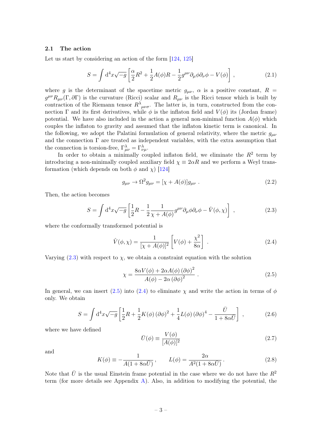#### <span id="page-3-0"></span>2.1 The action

Let us start by considering an action of the form  $[124, 125]$  $[124, 125]$  $[124, 125]$ 

<span id="page-3-4"></span>
$$
S = \int d^4x \sqrt{-g} \left[ \frac{\alpha}{2} R^2 + \frac{1}{2} A(\phi) R - \frac{1}{2} g^{\mu\nu} \partial_\mu \phi \partial_\nu \phi - V(\phi) \right], \qquad (2.1)
$$

where g is the determinant of the spacetime metric  $g_{\mu\nu}$ ,  $\alpha$  is a positive constant,  $R =$  $g^{\mu\nu}R_{\mu\nu}(\Gamma,\partial\Gamma)$  is the curvature (Ricci) scalar and  $R_{\mu\nu}$  is the Ricci tensor which is built by contraction of the Riemann tensor  $R^{\lambda}{}_{\mu\nu\sigma}$ . The latter is, in turn, constructed from the connection Γ and its first derivatives, while  $\phi$  is the inflaton field and  $V(\phi)$  its (Jordan frame) potential. We have also included in the action a general non-minimal function  $A(\phi)$  which couples the inflaton to gravity and assumed that the inflaton kinetic term is canonical. In the following, we adopt the Palatini formulation of general relativity, where the metric  $g_{\mu\nu}$ and the connection  $\Gamma$  are treated as independent variables, with the extra assumption that the connection is torsion-free,  $\Gamma_{\mu\nu}^{\lambda} = \Gamma_{\nu\mu}^{\lambda}$ .

In order to obtain a minimally coupled inflaton field, we eliminate the  $R^2$  term by introducing a non-minimally coupled auxiliary field  $\chi \equiv 2\alpha R$  and we perform a Weyl transformation (which depends on both  $\phi$  and  $\chi$ ) [\[124\]](#page-23-3)

<span id="page-3-7"></span>
$$
g_{\mu\nu} \to \Omega^2 g_{\mu\nu} = [\chi + A(\phi)]g_{\mu\nu} . \tag{2.2}
$$

Then, the action becomes

<span id="page-3-1"></span>
$$
S = \int d^4x \sqrt{-g} \left[ \frac{1}{2} R - \frac{1}{2} \frac{1}{\chi + A(\phi)} g^{\mu\nu} \partial_\mu \phi \partial_\nu \phi - \hat{V}(\phi, \chi) \right] , \qquad (2.3)
$$

where the conformally transformed potential is

<span id="page-3-3"></span>
$$
\hat{V}(\phi,\chi) = \frac{1}{[\chi + A(\phi)]^2} \left[ V(\phi) + \frac{\chi^2}{8\alpha} \right] . \tag{2.4}
$$

Varying [\(2.3\)](#page-3-1) with respect to  $\chi$ , we obtain a constraint equation with the solution

<span id="page-3-2"></span>
$$
\chi = \frac{8\alpha V(\phi) + 2\alpha A(\phi) (\partial \phi)^2}{A(\phi) - 2\alpha (\partial \phi)^2}.
$$
\n(2.5)

In general, we can insert [\(2.5\)](#page-3-2) into [\(2.4\)](#page-3-3) to eliminate  $\chi$  and write the action in terms of  $\phi$ only. We obtain

<span id="page-3-5"></span>
$$
S = \int d^4x \sqrt{-g} \left[ \frac{1}{2} R + \frac{1}{2} K(\phi) \left( \partial \phi \right)^2 + \frac{1}{4} L(\phi) \left( \partial \phi \right)^4 - \frac{\bar{U}}{1 + 8\alpha \bar{U}} \right] , \qquad (2.6)
$$

where we have defined

<span id="page-3-8"></span>
$$
\bar{U}(\phi) \equiv \frac{V(\phi)}{[A(\phi)]^2} \tag{2.7}
$$

and

<span id="page-3-6"></span>
$$
K(\phi) \equiv -\frac{1}{A(1 + 8\alpha \bar{U})}, \qquad L(\phi) = \frac{2\alpha}{A^2(1 + 8\alpha \bar{U})}.
$$
\n(2.8)

Note that  $\bar{U}$  is the usual Einstein frame potential in the case where we do not have the  $R^2$ term (for more details see Appendix [A\)](#page-16-1). Also, in addition to modifying the potential, the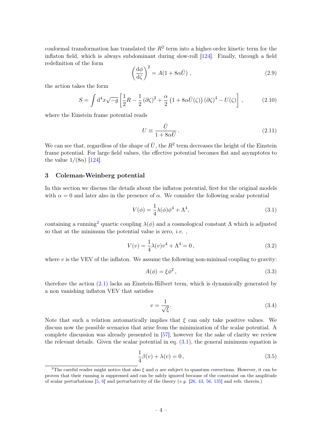conformal transformation has translated the  $R^2$  term into a higher-order kinetic term for the inflaton field, which is always subdominant during slow-roll [\[124\]](#page-23-3). Finally, through a field redefinition of the form

<span id="page-4-7"></span>
$$
\left(\frac{\mathrm{d}\phi}{\mathrm{d}\zeta}\right)^2 = A(1 + 8\alpha \bar{U}),\qquad(2.9)
$$

the action takes the form

<span id="page-4-8"></span>
$$
S = \int d^4x \sqrt{-g} \left[ \frac{1}{2} R - \frac{1}{2} (\partial \zeta)^2 + \frac{\alpha}{2} \left( 1 + 8\alpha \bar{U}(\zeta) \right) (\partial \zeta)^4 - U(\zeta) \right],\tag{2.10}
$$

where the Einstein frame potential reads

<span id="page-4-6"></span>
$$
U \equiv \frac{\bar{U}}{1 + 8\alpha \bar{U}}.
$$
\n(2.11)

We can see that, regardless of the shape of  $\bar{U}$ , the  $R^2$  term decreases the height of the Einstein frame potential. For large field values, the effective potential becomes flat and asymptotes to the value  $1/(8\alpha)$  [\[124\]](#page-23-3).

## <span id="page-4-0"></span>3 Coleman-Weinberg potential

In this section we discuss the details about the inflaton potential, first for the original models with  $\alpha = 0$  and later also in the presence of  $\alpha$ . We consider the following scalar potential

<span id="page-4-2"></span>
$$
V(\phi) = \frac{1}{4}\lambda(\phi)\phi^4 + \Lambda^4,\tag{3.1}
$$

containing a running<sup>[2](#page-4-1)</sup> quartic coupling  $\lambda(\phi)$  and a cosmological constant  $\Lambda$  which is adjusted so that at the minimum the potential value is zero,  $i.e.$ ,

<span id="page-4-3"></span>
$$
V(v) = \frac{1}{4}\lambda(v)v^4 + \Lambda^4 = 0,
$$
\n(3.2)

where  $v$  is the VEV of the inflaton. We assume the following non-minimal coupling to gravity:

<span id="page-4-5"></span>
$$
A(\phi) = \xi \phi^2, \qquad (3.3)
$$

therefore the action [\(2.1\)](#page-3-4) lacks an Einstein-Hilbert term, which is dynamically generated by a non vanishing inflaton VEV that satisfies

<span id="page-4-4"></span>
$$
v = \frac{1}{\sqrt{\xi}}.\tag{3.4}
$$

Note that such a relation automatically implies that  $\xi$  can only take positive values. We discuss now the possible scenarios that arise from the minimization of the scalar potential. A complete discussion was already presented in [\[57\]](#page-20-7), however for the sake of clarity we review the relevant details. Given the scalar potential in eq.  $(3.1)$ , the general minimum equation is

$$
\frac{1}{4}\beta(v) + \lambda(v) = 0,
$$
\n(3.5)

<span id="page-4-1"></span><sup>&</sup>lt;sup>2</sup>The careful reader might notice that also  $\xi$  and  $\alpha$  are subject to quantum corrections. However, it can be proven that their running is suppressed and can be safely ignored because of the constraint on the amplitude of scalar perturbations [\[5,](#page-18-2) [6\]](#page-18-3) and perturbativity of the theory (e.g. [\[26,](#page-19-1) [43,](#page-20-9) [56,](#page-20-10) [135\]](#page-24-1) and refs. therein.)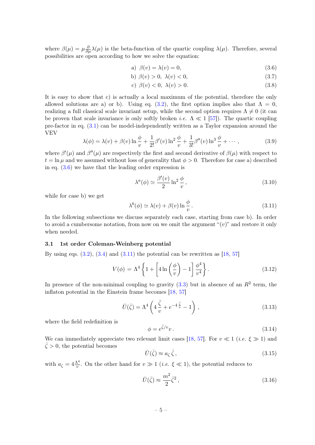where  $\beta(\mu) = \mu \frac{\partial}{\partial \mu} \lambda(\mu)$  is the beta-function of the quartic coupling  $\lambda(\mu)$ . Therefore, several possibilities are open according to how we solve the equation:

<span id="page-5-1"></span>
$$
a) \ \beta(v) = \lambda(v) = 0,\tag{3.6}
$$

$$
b) \beta(v) > 0, \lambda(v) < 0,
$$
\n
$$
(3.7)
$$

$$
c) \beta(v) < 0, \lambda(v) > 0. \tag{3.8}
$$

It is easy to show that c) is actually a local maximum of the potential, therefore the only allowed solutions are a) or b). Using eq. [\(3.2\)](#page-4-3), the first option implies also that  $\Lambda = 0$ , realizing a full classical scale invariant setup, while the second option requires  $\Lambda \neq 0$  (it can be proven that scale invariance is only softly broken *i.e.*  $\Lambda \ll 1$  [\[57\]](#page-20-7)). The quartic coupling pre-factor in eq.  $(3.1)$  can be model-independently written as a Taylor expansion around the VEV

$$
\lambda(\phi) = \lambda(v) + \beta(v) \ln \frac{\phi}{v} + \frac{1}{2!} \beta'(v) \ln^2 \frac{\phi}{v} + \frac{1}{3!} \beta''(v) \ln^3 \frac{\phi}{v} + \cdots,
$$
 (3.9)

where  $\beta'(\mu)$  and  $\beta''(\mu)$  are respectively the first and second derivative of  $\beta(\mu)$  with respect to  $t = \ln \mu$  and we assumed without loss of generality that  $\phi > 0$ . Therefore for case a) described in eq. [\(3.6\)](#page-5-1) we have that the leading order expression is

<span id="page-5-4"></span>
$$
\lambda^{a}(\phi) \simeq \frac{\beta'(v)}{2} \ln^2 \frac{\phi}{v}, \qquad (3.10)
$$

while for case b) we get

<span id="page-5-2"></span>
$$
\lambda^{b}(\phi) \simeq \lambda(v) + \beta(v) \ln \frac{\phi}{v}.
$$
\n(3.11)

In the following subsections we discuss separately each case, starting from case b). In order to avoid a cumbersome notation, from now on we omit the argument " $(v)$ " and restore it only when needed.

#### <span id="page-5-0"></span>3.1 1st order Coleman-Weinberg potential

By using eqs.  $(3.2)$ ,  $(3.4)$  and  $(3.11)$  the potential can be rewritten as [\[18,](#page-19-0) [57\]](#page-20-7)

<span id="page-5-7"></span>
$$
V(\phi) = \Lambda^4 \left\{ 1 + \left[ 4\ln\left(\frac{\phi}{v}\right) - 1 \right] \frac{\phi^4}{v^4} \right\}.
$$
 (3.12)

In presence of the non-minimal coupling to gravity  $(3.3)$  but in absence of an  $R^2$  term, the inflaton potential in the Einstein frame becomes [\[18,](#page-19-0) [57\]](#page-20-7)

<span id="page-5-3"></span>
$$
\bar{U}(\bar{\zeta}) = \Lambda^4 \left( 4 \frac{\bar{\zeta}}{v} + e^{-4 \frac{\bar{\zeta}}{v}} - 1 \right), \qquad (3.13)
$$

where the field redefinition is

$$
\phi = e^{\bar{\zeta}/v}v. \tag{3.14}
$$

We can immediately appreciate two relevant limit cases [\[18,](#page-19-0) [57\]](#page-20-7). For  $v \ll 1$  (*i.e.*  $\xi \gg 1$ ) and  $\bar{\zeta} > 0$ , the potential becomes

<span id="page-5-6"></span>
$$
\bar{U}(\bar{\zeta}) \approx a_{\zeta}\,\bar{\zeta}\,,\tag{3.15}
$$

with  $a_{\zeta} = 4\frac{\Lambda^4}{v}$ . On the other hand for  $v \gg 1$  (*i.e.*  $\xi \ll 1$ ), the potential reduces to

<span id="page-5-5"></span>
$$
\bar{U}(\bar{\zeta}) \approx \frac{m^2}{2}\bar{\zeta}^2\,,\tag{3.16}
$$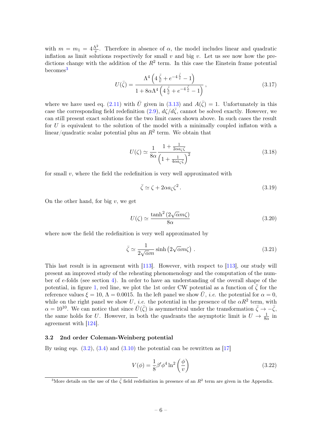with  $m = m_1 = 4 \frac{\Lambda^2}{v}$ . Therefore in absence of  $\alpha$ , the model includes linear and quadratic inflation as limit solutions respectively for small v and big v. Let us see now how the predictions change with the addition of the  $R^2$  term. In this case the Einstein frame potential becomes<sup>[3](#page-6-1)</sup>

$$
U(\bar{\zeta}) = \frac{\Lambda^4 \left( 4 \frac{\bar{\zeta}}{v} + e^{-4 \frac{\bar{\zeta}}{v}} - 1 \right)}{1 + 8\alpha \Lambda^4 \left( 4 \frac{\bar{\zeta}}{v} + e^{-4 \frac{\bar{\zeta}}{v}} - 1 \right)},
$$
\n(3.17)

where we have used eq. [\(2.11\)](#page-4-6) with  $\bar{U}$  given in [\(3.13\)](#page-5-3) and  $A(\bar{\zeta}) = 1$ . Unfortunately in this case the corresponding field redefinition  $(2.9)$ ,  $d\zeta/d\bar{\zeta}$ , cannot be solved exactly. However, we can still present exact solutions for the two limit cases shown above. In such cases the result for  $U$  is equivalent to the solution of the model with a minimally coupled inflaton with a linear/quadratic scalar potential plus an  $R^2$  term. We obtain that

$$
U(\zeta) \simeq \frac{1}{8\alpha} \frac{1 + \frac{1}{2\alpha a_{\zeta}\zeta}}{\left(1 + \frac{1}{4\alpha a_{\zeta}\zeta}\right)^2}
$$
(3.18)

for small  $v$ , where the field the redefinition is very well approximated with

$$
\bar{\zeta} \simeq \zeta + 2\alpha a_{\zeta} \zeta^2. \tag{3.19}
$$

On the other hand, for big  $v$ , we get

<span id="page-6-2"></span>
$$
U(\zeta) \simeq \frac{\tanh^2\left(2\sqrt{\alpha}m\zeta\right)}{8\alpha} \tag{3.20}
$$

where now the field the redefinition is very well approximated by

$$
\bar{\zeta} \simeq \frac{1}{2\sqrt{\alpha}m} \sinh\left(2\sqrt{\alpha}m\zeta\right) . \tag{3.21}
$$

This last result is in agreement with [\[113\]](#page-23-1). However, with respect to [\[113\]](#page-23-1), our study will present an improved study of the reheating phenomenology and the computation of the number of e-folds (see section [4\)](#page-7-0). In order to have an understanding of the overall shape of the potential, in figure [1,](#page-7-2) red line, we plot the 1st order CW potential as a function of  $\bar{\zeta}$  for the reference values  $\xi = 10$ ,  $\Lambda = 0.0015$ . In the left panel we show  $\overline{U}$ , *i.e.* the potential for  $\alpha = 0$ , while on the right panel we show U, *i.e.* the potential in the presence of the  $\alpha R^2$  term, with  $\alpha = 10^{10}$ . We can notice that since  $\bar{U}(\bar{\zeta})$  is asymmetrical under the transformation  $\bar{\zeta} \to -\bar{\zeta}$ , the same holds for U. However, in both the quadrants the asymptotic limit is  $U \to \frac{1}{8\alpha}$  in agreement with [\[124\]](#page-23-3).

#### <span id="page-6-0"></span>3.2 2nd order Coleman-Weinberg potential

By using eqs.  $(3.2)$ ,  $(3.4)$  and  $(3.10)$  the potential can be rewritten as [\[17\]](#page-18-9)

<span id="page-6-3"></span>
$$
V(\phi) = \frac{1}{8}\beta'\phi^4 \ln^2\left(\frac{\phi}{v}\right)
$$
 (3.22)

<span id="page-6-1"></span><sup>&</sup>lt;sup>3</sup>More details on the use of the  $\bar{\zeta}$  field redefinition in presence of an  $R^2$  term are given in the Appendix.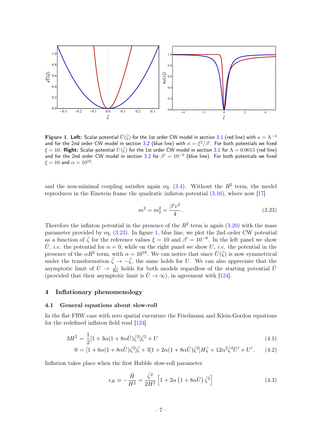

Figure 1. Left: Scalar potential  $\bar{U}(\bar{\zeta})$  for the 1st order CW model in section [3.1](#page-5-0) (red line) with  $\kappa=\Lambda^{-4}$ and for the 2nd order CW model in section [3.2](#page-6-0) (blue line) with  $\kappa=\xi^2/\beta'$ . For both potentials we fixed  $\xi=10.$  <code>Right: Scalar</code> potential  $U(\bar{\zeta})$  for the 1st order <code>CW</code> model in section [3.1](#page-5-0) for  $\Lambda=0.0015$  (red line) and for the 2nd order CW model in section [3.2](#page-6-0) for  $\beta' = 10^{-9}$  (blue line). For both potentials we fixed  $\xi=10$  and  $\alpha=10^{10}$ .

and the non-minimal coupling satisfies again eq.  $(3.4)$ . Without the  $R^2$  term, the model reproduces in the Einstein frame the quadratic inflaton potential  $(3.16)$ , where now [\[17\]](#page-18-9)

<span id="page-7-3"></span><span id="page-7-2"></span>
$$
m^2 = m_2^2 = \frac{\beta' v^2}{4}.
$$
\n(3.23)

Therefore the inflaton potential in the presence of the  $R^2$  term is again [\(3.20\)](#page-6-2) with the mass parameter provided by eq. [\(3.23\)](#page-7-3). In figure [1,](#page-7-2) blue line, we plot the 2nd order CW potential as a function of  $\bar{\zeta}$  for the reference values  $\xi = 10$  and  $\beta' = 10^{-9}$ . In the left panel we show  $\overline{U}$ , *i.e.* the potential for  $\alpha = 0$ , while on the right panel we show U, *i.e.* the potential in the presence of the  $\alpha R^2$  term, with  $\alpha = 10^{10}$ . We can notice that since  $\bar{U}(\bar{\zeta})$  is now symmetrical under the transformation  $\bar{\zeta} \to -\bar{\zeta}$ , the same holds for U. We can also appreciate that the asymptotic limit of  $U \to \frac{1}{8\alpha}$  holds for both models regardless of the starting potential  $\bar{U}$ (provided that their asymptotic limit is  $\bar{U} \to \infty$ ), in agreement with [\[124\]](#page-23-3).

## <span id="page-7-0"></span>4 Inflationary phenomenology

#### <span id="page-7-1"></span>4.1 General equations about slow-roll

In the flat FRW case with zero spatial curvature the Friedmann and Klein-Gordon equations for the redefined inflaton field read [\[124\]](#page-23-3)

<span id="page-7-4"></span>
$$
3H^2 = \frac{1}{2} [1 + 3\alpha (1 + 8\alpha \bar{U}) \dot{\zeta}^2] \dot{\zeta}^2 + U \tag{4.1}
$$

$$
0 = [1 + 6\alpha(1 + 8\alpha \bar{U})\dot{\zeta}^2]\ddot{\zeta} + 3[1 + 2\alpha(1 + 8\alpha \bar{U})\dot{\zeta}^2]H\dot{\zeta} + 12\alpha^2\dot{\zeta}^4\bar{U}' + U'. \tag{4.2}
$$

Inflation takes place when the first Hubble slow-roll parameter

$$
\epsilon_H \equiv -\frac{\dot{H}}{H^2} = \frac{\dot{\zeta}^2}{2H^2} \left[ 1 + 2\alpha \left( 1 + 8\alpha \bar{U} \right) \dot{\zeta}^2 \right] \tag{4.3}
$$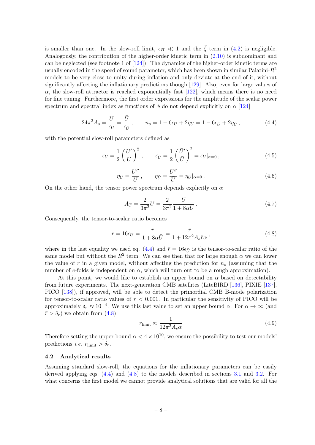is smaller than one. In the slow-roll limit,  $\epsilon_H \ll 1$  and the  $\ddot{\zeta}$  term in [\(4.2\)](#page-7-4) is negligible. Analogously, the contribution of the higher-order kinetic term in [\(2.10\)](#page-4-8) is subdominant and can be neglected (see footnote 1 of [\[124\]](#page-23-3)). The dynamics of the higher-order kinetic terms are usually encoded in the speed of sound parameter, which has been shown in similar Palatini- $R^2$ models to be very close to unity during inflation and only deviate at the end of it, without significantly affecting the inflationary predictions though [\[129\]](#page-24-2). Also, even for large values of  $\alpha$ , the slow-roll attractor is reached exponentially fast [\[122\]](#page-23-0), which means there is no need for fine tuning. Furthermore, the first order expressions for the amplitude of the scalar power spectrum and spectral index as functions of  $\phi$  do not depend explicitly on  $\alpha$  [\[124\]](#page-23-3)

<span id="page-8-1"></span>
$$
24\pi^2 A_s = \frac{U}{\epsilon_U} = \frac{\bar{U}}{\epsilon_{\bar{U}}}, \qquad n_s = 1 - 6\epsilon_U + 2\eta_U = 1 - 6\epsilon_{\bar{U}} + 2\eta_{\bar{U}}, \tag{4.4}
$$

with the potential slow-roll parameters defined as

$$
\epsilon_U = \frac{1}{2} \left( \frac{U'}{U} \right)^2, \qquad \epsilon_{\bar{U}} = \frac{1}{2} \left( \frac{\bar{U}'}{\bar{U}} \right)^2 = \epsilon_U |_{\alpha = 0}, \tag{4.5}
$$

$$
\eta_U = \frac{U''}{U}, \qquad \eta_{\bar{U}} = \frac{\bar{U}''}{\bar{U}} = \eta_U|_{\alpha=0}.
$$
\n(4.6)

On the other hand, the tensor power spectrum depends explicitly on  $\alpha$ 

$$
A_T = \frac{2}{3\pi^2} U = \frac{2}{3\pi^2} \frac{\bar{U}}{1 + 8\alpha \bar{U}}.
$$
 (4.7)

Consequently, the tensor-to-scalar ratio becomes

<span id="page-8-2"></span>
$$
r = 16\epsilon_U = \frac{\bar{r}}{1 + 8\alpha \bar{U}} = \frac{\bar{r}}{1 + 12\pi^2 A_s \bar{r}\alpha},\qquad(4.8)
$$

where in the last equality we used eq. [\(4.4\)](#page-8-1) and  $\bar{r} = 16\epsilon_{\bar{U}}$  is the tensor-to-scalar ratio of the same model but without the  $R^2$  term. We can see then that for large enough  $\alpha$  we can lower the value of r in a given model, without affecting the prediction for  $n_s$  (assuming that the number of e-folds is independent on  $\alpha$ , which will turn out to be a rough approximation).

At this point, we would like to establish an upper bound on  $\alpha$  based on detectability from future experiments. The next-generation CMB satellites (LiteBIRD [\[136\]](#page-24-3), PIXIE [\[137\]](#page-24-4), PICO [\[138\]](#page-24-5)), if approved, will be able to detect the primordial CMB B-mode polarization for tensor-to-scalar ratio values of  $r < 0.001$ . In particular the sensitivity of PICO will be approximately  $\delta_r \approx 10^{-4}$ . We use this last value to set an upper bound  $\alpha$ . For  $\alpha \to \infty$  (and  $\bar{r} > \delta_r$ ) we obtain from [\(4.8\)](#page-8-2)

<span id="page-8-3"></span>
$$
r_{\rm limit} \approx \frac{1}{12\pi^2 A_s \alpha} \tag{4.9}
$$

Therefore setting the upper bound  $\alpha < 4 \times 10^{10}$ , we ensure the possibility to test our models' predictions *i.e.*  $r_{\text{limit}} > \delta_r$ .

#### <span id="page-8-0"></span>4.2 Analytical results

Assuming standard slow-roll, the equations for the inflationary parameters can be easily derived applying eqs. [\(4.4\)](#page-8-1) and [\(4.8\)](#page-8-2) to the models described in sections [3.1](#page-5-0) and [3.2.](#page-6-0) For what concerns the first model we cannot provide analytical solutions that are valid for all the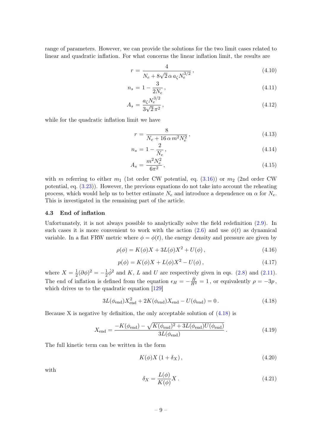range of parameters. However, we can provide the solutions for the two limit cases related to linear and quadratic inflation. For what concerns the linear inflation limit, the results are

$$
r = \frac{4}{N_e + 8\sqrt{2} \alpha a_{\zeta} N_e^{3/2}},\tag{4.10}
$$

$$
n_s = 1 - \frac{3}{2N_e},\tag{4.11}
$$

$$
A_s = \frac{a_\zeta N_e^{3/2}}{3\sqrt{2}\,\pi^2},\tag{4.12}
$$

while for the quadratic inflation limit we have

$$
r = \frac{8}{N_e + 16 \,\alpha \, m^2 N_e^2},\tag{4.13}
$$

$$
n_s = 1 - \frac{2}{N_e},\tag{4.14}
$$

$$
A_s = \frac{m^2 N_e^2}{6\pi^2},\tag{4.15}
$$

with m referring to either  $m_1$  (1st order CW potential, eq. [\(3.16\)](#page-5-5)) or  $m_2$  (2nd order CW potential, eq. [\(3.23\)](#page-7-3)). However, the previous equations do not take into account the reheating process, which would help us to better estimate  $N_e$  and introduce a dependence on  $\alpha$  for  $N_e$ . This is investigated in the remaining part of the article.

#### <span id="page-9-0"></span>4.3 End of inflation

Unfortunately, it is not always possible to analytically solve the field redefinition [\(2.9\)](#page-4-7). In such cases it is more convenient to work with the action [\(2.6\)](#page-3-5) and use  $\phi(t)$  as dynamical variable. In a flat FRW metric where  $\phi = \phi(t)$ , the energy density and pressure are given by

<span id="page-9-4"></span>
$$
\rho(\phi) = K(\phi)X + 3L(\phi)X^2 + U(\phi), \qquad (4.16)
$$

$$
p(\phi) = K(\phi)X + L(\phi)X^{2} - U(\phi), \qquad (4.17)
$$

where  $X=\frac{1}{2}$  $\frac{1}{2}(\partial \phi)^2 = -\frac{1}{2}$  $\frac{1}{2}\dot{\phi}^2$  and K, L and U are respectively given in eqs. [\(2.8\)](#page-3-6) and [\(2.11\)](#page-4-6). The end of inflation is defined from the equation  $\epsilon_H = -\frac{\dot{H}}{H^2} = 1$ , or equivalently  $\rho = -3p$ , which drives us to the quadratic equation [\[129\]](#page-24-2)

<span id="page-9-1"></span>
$$
3L(\phi_{\rm end})X_{\rm end}^2 + 2K(\phi_{\rm end})X_{\rm end} - U(\phi_{\rm end}) = 0.
$$
 (4.18)

Because X is negative by definition, the only acceptable solution of [\(4.18\)](#page-9-1) is

<span id="page-9-2"></span>
$$
X_{\text{end}} = \frac{-K(\phi_{\text{end}}) - \sqrt{K(\phi_{\text{end}})^2 + 3L(\phi_{\text{end}})U(\phi_{\text{end}})}}{3L(\phi_{\text{end}})}.
$$
(4.19)

The full kinetic term can be written in the form

$$
K(\phi)X(1+\delta_X),\tag{4.20}
$$

with

<span id="page-9-3"></span>
$$
\delta_X = \frac{L(\phi)}{K(\phi)} X. \tag{4.21}
$$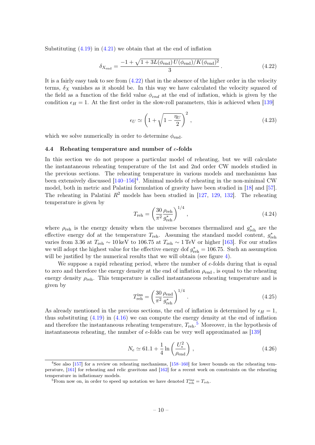Substituting  $(4.19)$  in  $(4.21)$  we obtain that at the end of inflation

<span id="page-10-1"></span>
$$
\delta_{X_{\text{end}}} = \frac{-1 + \sqrt{1 + 3L(\phi_{\text{end}})U(\phi_{\text{end}})/K(\phi_{\text{end}})^2}{3}.
$$
\n(4.22)

It is a fairly easy task to see from [\(4.22\)](#page-10-1) that in the absence of the higher order in the velocity terms,  $\delta_X$  vanishes as it should be. In this way we have calculated the velocity squared of the field as a function of the field value  $\phi_{end}$  at the end of inflation, which is given by the condition  $\epsilon_H = 1$ . At the first order in the slow-roll parameters, this is achieved when [\[139\]](#page-24-6)

$$
\epsilon_U \simeq \left(1 + \sqrt{1 - \frac{\eta_U}{2}}\right)^2,\tag{4.23}
$$

which we solve numerically in order to determine  $\phi_{end}$ .

#### <span id="page-10-0"></span>4.4 Reheating temperature and number of e-folds

In this section we do not propose a particular model of reheating, but we will calculate the instantaneous reheating temperature of the 1st and 2nd order CW models studied in the previous sections. The reheating temperature in various models and mechanisms has been extensively discussed  $[140-156]^4$  $[140-156]^4$  $[140-156]^4$  $[140-156]^4$ . Minimal models of reheating in the non-minimal CW model, both in metric and Palatini formulation of gravity have been studied in [\[18\]](#page-19-0) and [\[57\]](#page-20-7). The reheating in Palatini  $R^2$  models has been studied in [\[127,](#page-24-8) [129,](#page-24-2) [132\]](#page-24-9). The reheating temperature is given by

$$
T_{\rm reh} = \left(\frac{30}{\pi^2} \frac{\rho_{\rm reh}}{g_{\rm reh}^*}\right)^{1/4},\tag{4.24}
$$

where  $\rho_{\text{reh}}$  is the energy density when the universe becomes thermalized and  $g_{\text{reh}}^*$  are the effective energy dof at the temperature  $T_{\text{reh}}$ . Assuming the standard model content,  $g_{\text{reh}}^*$ varies from 3.36 at  $T_{\text{reh}} \sim 10 \,\text{keV}$  to 106.75 at  $T_{\text{reh}} \sim 1 \,\text{TeV}$  or higher [\[163\]](#page-25-1). For our studies we will adopt the highest value for the effective energy dof  $g_{\text{reh}}^* = 106.75$ . Such an assumption will be justified by the numerical results that we will obtain (see figure [4\)](#page-13-0).

We suppose a rapid reheating period, where the number of e-folds during that is equal to zero and therefore the energy density at the end of inflation  $\rho_{end}$ , is equal to the reheating energy density  $\rho_{\text{reh}}$ . This temperature is called instantaneous reheating temperature and is given by

$$
T_{\rm reh}^{\rm ins} = \left(\frac{30}{\pi^2} \frac{\rho_{\rm end}}{g_{\rm reh}^*}\right)^{1/4}.
$$
 (4.25)

As already mentioned in the previous sections, the end of inflation is determined by  $\epsilon_H = 1$ , thus substituting [\(4.19\)](#page-9-2) in [\(4.16\)](#page-9-4) we can compute the energy density at the end of inflation and therefore the instantaneous reheating temperature,  $T_{\text{reh}}$ <sup>[5](#page-10-3)</sup> Moreover, in the hypothesis of instantaneous reheating, the number of e-folds can be very well approximated as [\[139\]](#page-24-6)

$$
N_e \simeq 61.1 + \frac{1}{4} \ln \left( \frac{U_*^2}{\rho_{\text{end}}} \right) ,
$$
 (4.26)

<span id="page-10-2"></span><sup>4</sup>See also [\[157\]](#page-25-2) for a review on reheating mechanisms, [\[158](#page-25-3)[–160\]](#page-25-4) for lower bounds on the reheating temperature, [\[161\]](#page-25-5) for reheating and relic gravitons and [\[162\]](#page-25-6) for a recent work on constraints on the reheating temperature in inflationary models.

<span id="page-10-3"></span><sup>&</sup>lt;sup>5</sup>From now on, in order to speed up notation we have denoted  $T_{\text{reh}}^{\text{ins}} = T_{\text{reh}}$ .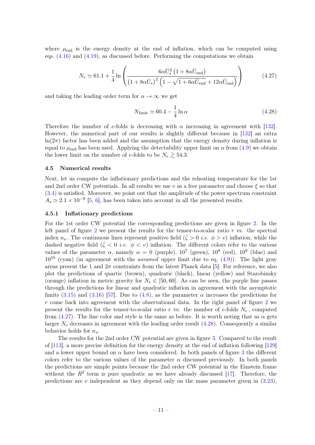where  $\rho_{end}$  is the energy density at the end of inflation, which can be computed using eqs.  $(4.16)$  and  $(4.19)$ , as discussed before. Performing the computations we obtain

<span id="page-11-2"></span>
$$
N_e \simeq 61.1 + \frac{1}{4} \ln \left( \frac{6\alpha \bar{U}_*^2 \left(1 + 8\alpha \bar{U}_{\text{end}}\right)}{\left(1 + 8\alpha \bar{U}_*\right)^2 \left(1 - \sqrt{1 + 6\alpha \bar{U}_{\text{end}}} + 12\alpha \bar{U}_{\text{end}}\right)} \right) \tag{4.27}
$$

and taking the leading order term for  $\alpha \to \infty$  we get

<span id="page-11-3"></span>
$$
N_{\text{limit}} \simeq 60.4 - \frac{1}{4} \ln \alpha \tag{4.28}
$$

Therefore the number of e-folds is decreasing with  $\alpha$  increasing in agreement with [\[132\]](#page-24-9). However, the numerical part of our results is slightly different because in [\[132\]](#page-24-9) an extra  $ln(2\pi)$  factor has been added and the assumption that the energy density during inflation is equal to  $\rho_{end}$  has been used. Applying the detectability upper limit on  $\alpha$  from [\(4.9\)](#page-8-3) we obtain the lower limit on the number of e-folds to be  $N_e \gtrsim 54.3$ .

#### <span id="page-11-0"></span>4.5 Numerical results

Next, let us compute the inflationary predictions and the reheating temperature for the 1st and 2nd order CW potentials. In all results we use v as a free parameter and choose  $\xi$  so that [\(3.4\)](#page-4-4) is satisfied. Moreover, we point out that the amplitude of the power spectrum constraint  $A_s \simeq 2.1 \times 10^{-9}$  [\[5,](#page-18-2) [6\]](#page-18-3), has been taken into account in all the presented results.

#### <span id="page-11-1"></span>4.5.1 Inflationary predictions

For the 1st order CW potential the corresponding predictions are given in figure [2.](#page-12-1) In the left panel of figure [2](#page-12-1) we present the results for the tensor-to-scalar ratio  $r$  vs. the spectral index  $n_s$ . The continuous lines represent positive field  $(\zeta > 0 \text{ i.e. } \phi > v)$  inflation, while the dashed negative field  $({\bar \zeta} < 0$  *i.e.*  $\phi < v$ ) inflation. The different colors refer to the various values of the parameter  $\alpha$ , namely  $\alpha = 0$  (purple),  $10^7$  (green),  $10^8$  (red),  $10^9$  (blue) and  $10^{10}$  (cyan) (in agreement with the *assumed* upper limit due to eq.  $(4.9)$ ). The light gray areas present the 1 and  $2\sigma$  constraints from the latest Planck data [\[5\]](#page-18-2). For reference, we also plot the predictions of quartic (brown), quadratic (black), linear (yellow) and Starobinsky (orange) inflation in metric gravity for  $N_e \in [50, 60]$ . As can be seen, the purple line passes through the predictions for linear and quadratic inflation in agreement with the asymptotic limits [\(3.15\)](#page-5-6) and [\(3.16\)](#page-5-5) [\[57\]](#page-20-7). Due to [\(4.8\)](#page-8-2), as the parameter  $\alpha$  increases the predictions for r come back into agreement with the observational data. In the right panel of figure [2](#page-12-1) we present the results for the tensor-to-scalar ratio r vs. the number of e-folds  $N_e$ , computed from [\(4.27\)](#page-11-2). The line color and style is the same as before. It is worth noting that as  $\alpha$  gets larger  $N_e$  decreases in agreement with the leading order result [\(4.28\)](#page-11-3). Consequently a similar behavior holds for  $n_s$ .

The results for the 2nd order CW potential are given in figure [3.](#page-12-2) Compared to the result of [\[113\]](#page-23-1), a more precise definition for the energy density at the end of inflation following [\[129\]](#page-24-2) and a lower upper bound on  $\alpha$  have been considered. In both panels of figure [3](#page-12-2) the different colors refer to the various values of the parameter  $\alpha$  discussed previously. In both panels the predictions are simple points because the 2nd order CW potential in the Einstein frame without the  $R^2$  term is pure quadratic as we have already discussed [\[17\]](#page-18-9). Therefore, the predictions are v independent as they depend only on the mass parameter given in  $(3.23)$ ,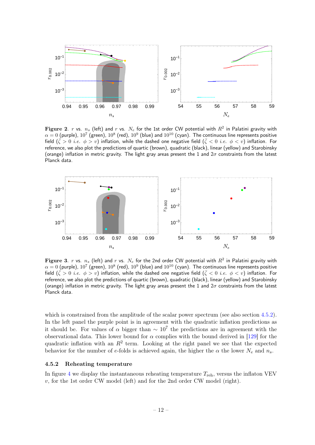

<span id="page-12-1"></span> ${\bf Figure~2.}$   $r$  vs.  $n_s$  (left) and  $r$  vs.  $N_e$  for the 1st order CW potential with  $R^2$  in Palatini gravity with  $\alpha=0$  (purple),  $10^7$  (green),  $10^8$  (red),  $10^9$  (blue) and  $10^{10}$  (cyan). The continuous line represents positive field  $({\bar\zeta} > 0$  *i.e.*  $\phi > v$ ) inflation, while the dashed one negative field  $({\bar\zeta} < 0$  *i.e.*  $\phi < v$ ) inflation. For reference, we also plot the predictions of quartic (brown), quadratic (black), linear (yellow) and Starobinsky (orange) inflation in metric gravity. The light gray areas present the 1 and  $2\sigma$  constraints from the latest Planck data.



<span id="page-12-2"></span>**Figure 3**.  $r$  vs.  $n_s$  (left) and  $r$  vs.  $N_e$  for the 2nd order CW potential with  $R^2$  in Palatini gravity with  $\alpha=0$  (purple),  $10^7$  (green),  $10^8$  (red),  $10^9$  (blue) and  $10^{10}$  (cyan). The continuous line represents positive field  $({\bar\zeta} > 0$  *i.e.*  $\phi > v)$  inflation, while the dashed one negative field  $({\bar\zeta} < 0$  *i.e.*  $\phi < v)$  inflation. For reference, we also plot the predictions of quartic (brown), quadratic (black), linear (yellow) and Starobinsky (orange) inflation in metric gravity. The light gray areas present the 1 and  $2\sigma$  constraints from the latest Planck data.

which is constrained from the amplitude of the scalar power spectrum (see also section [4.5.2\)](#page-12-0). In the left panel the purple point is in agreement with the quadratic inflation predictions as it should be. For values of  $\alpha$  bigger than  $\sim 10^7$  the predictions are in agreement with the observational data. This lower bound for  $\alpha$  complies with the bound derived in [\[129\]](#page-24-2) for the quadratic inflation with an  $R^2$  term. Looking at the right panel we see that the expected behavior for the number of e-folds is achieved again, the higher the  $\alpha$  the lower  $N_e$  and  $n_s$ .

#### <span id="page-12-0"></span>4.5.2 Reheating temperature

In figure [4](#page-13-0) we display the instantaneous reheating temperature  $T_{\text{reh}}$ , versus the inflaton VEV  $v$ , for the 1st order CW model (left) and for the 2nd order CW model (right).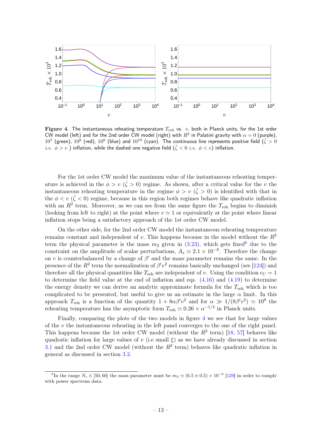

<span id="page-13-0"></span>Figure 4. The instantaneous reheating temperature  $T_{\text{reh}}$  vs.  $v$ , both in Planck units, for the 1st order CW model (left) and for the 2nd order CW model (right) with  $R^2$  in Palatini gravity with  $\alpha=0$  (purple),  $10^7$  (green),  $10^8$  (red),  $10^9$  (blue) and  $10^{10}$  (cyan). The continuous line represents positive field ( $\bar{\zeta} > 0$ *i.e.*  $\phi > v$  ) inflation, while the dashed one negative field  $(\bar{\zeta} < 0 \text{ i.e. } \phi < v)$  inflation.

For the 1st order CW model the maximum value of the instantaneous reheating temperature is achieved in the  $\phi > v \ (\bar{\zeta} > 0)$  regime. As shown, after a critical value for the v the instantaneous reheating temperature in the regime  $\phi > v \ (\bar{\zeta} > 0)$  is identified with that in the  $\phi < v \ (\bar{\zeta} < 0)$  regime, because in this region both regimes behave like quadratic inflation with an  $R^2$  term. Moreover, as we can see from the same figure the  $T_{\text{reh}}$  begins to diminish (looking from left to right) at the point where  $v \approx 1$  or equivalently at the point where linear inflation stops being a satisfactory approach of the 1st order CW model.

On the other side, for the 2nd order CW model the instantaneous reheating temperature remains constant and independent of v. This happens because in the model without the  $R^2$ term the physical parameter is the mass  $m_2$  given in [\(3.23\)](#page-7-3), which gets fixed<sup>[6](#page-13-1)</sup> due to the constraint on the amplitude of scalar perturbations,  $A_s \simeq 2.1 \times 10^{-9}$ . Therefore the change on v is counterbalanced by a change of  $\beta'$  and the mass parameter remains the same. In the presence of the  $R^2$  term the normalization of  $\beta'v^2$  remains basically unchanged (see [\[124\]](#page-23-3)) and therefore all the physical quantities like  $T_{\text{reh}}$  are independent of v. Using the condition  $\epsilon_U = 1$ to determine the field value at the end of inflation and eqs. [\(4.16\)](#page-9-4) and [\(4.19\)](#page-9-2) to determine the energy density we can derive an analytic approximate formula for the  $T_{\text{reh}}$  which is too complicated to be presented, but useful to give us an estimate in the large  $\alpha$  limit. In this approach  $T_{\text{reh}}$  is a function of the quantity  $1 + 8\alpha\beta'v^2$  and for  $\alpha \gg 1/(8\beta'v^2) \simeq 10^9$  the reheating temperature has the asymptotic form  $T_{\text{reh}} \simeq 0.26 \times \alpha^{-1/4}$  in Planck units.

Finally, comparing the plots of the two models in figure [4](#page-13-0) we see that for large values of the  $v$  the instantaneous reheating in the left panel converges to the one of the right panel. This happens because the 1st order CW model (without the  $R^2$  term) [\[18,](#page-19-0) [57\]](#page-20-7) behaves like quadratic inflation for large values of v (i.e small  $\xi$ ) as we have already discussed in section [3.1](#page-5-0) and the 2nd order CW model (without the  $R^2$  term) behaves like quadratic inflation in general as discussed in section [3.2.](#page-6-0)

<span id="page-13-1"></span><sup>&</sup>lt;sup>6</sup>In the range  $N_e \in [50, 60]$  the mass parameter must be  $m_2 \simeq (6.5 \pm 0.5) \times 10^{-6}$  [\[129\]](#page-24-2) in order to comply with power spectrum data.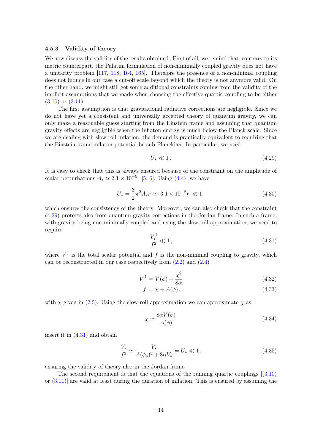#### <span id="page-14-0"></span>4.5.3 Validity of theory

We now discuss the validity of the results obtained. First of all, we remind that, contrary to its metric counterpart, the Palatini formulation of non-minimally coupled gravity does not have a unitarity problem [\[117,](#page-23-5) [118,](#page-23-6) [164,](#page-25-7) [165\]](#page-25-8). Therefore the presence of a non-minimal coupling does not induce in our case a cut-off scale beyond which the theory is not anymore valid. On the other hand, we might still get some additional constraints coming from the validity of the implicit assumptions that we made when choosing the effective quartic coupling to be either  $(3.10)$  or  $(3.11)$ .

The first assumption is that gravitational radiative corrections are negligible. Since we do not have yet a consistent and universally accepted theory of quantum gravity, we can only make a reasonable guess starting from the Einstein frame and assuming that quantum gravity effects are negligible when the inflaton energy is much below the Planck scale. Since we are dealing with slow-roll inflation, the demand is practically equivalent to requiring that the Einstein-frame inflaton potential be sub-Planckian. In particular, we need

<span id="page-14-1"></span>
$$
U_* \ll 1. \tag{4.29}
$$

It is easy to check that this is always ensured because of the constraint on the amplitude of scalar perturbations  $A_s \simeq 2.1 \times 10^{-9}$  [\[5,](#page-18-2) [6\]](#page-18-3). Using [\(4.4\)](#page-8-1), we have

$$
U_* = \frac{3}{2}\pi^2 A_s r \simeq 3.1 \times 10^{-8} r \ll 1, \qquad (4.30)
$$

which ensures the consistency of the theory. Moreover, we can also check that the constraint [\(4.29\)](#page-14-1) protects also from quantum gravity corrections in the Jordan frame. In such a frame, with gravity being non-minimally coupled and using the slow-roll approximation, we need to require

<span id="page-14-2"></span>
$$
\frac{V_*^{\rm J}}{f^2} \ll 1\,,\tag{4.31}
$$

where  $V^J$  is the total scalar potential and f is the non-minimal coupling to gravity, which can be reconstructed in our case respectively from  $(2.2)$  and  $(2.4)$ 

$$
V^J = V(\phi) + \frac{\chi^2}{8\alpha} \tag{4.32}
$$

$$
f = \chi + A(\phi), \tag{4.33}
$$

with  $\chi$  given in [\(2.5\)](#page-3-2). Using the slow-roll approximation we can approximate  $\chi$  as

$$
\chi \simeq \frac{8\alpha V(\phi)}{A(\phi)}\tag{4.34}
$$

insert it in [\(4.31\)](#page-14-2) and obtain

$$
\frac{V_*}{f^2} \simeq \frac{V_*}{A(\phi_*)^2 + 8\alpha V_*} = U_* \ll 1, \qquad (4.35)
$$

ensuring the validity of theory also in the Jordan frame.

The second requirement is that the equations of the running quartic couplings  $(3.10)$ or  $(3.11)$  are valid at least during the duration of inflation. This is ensured by assuming the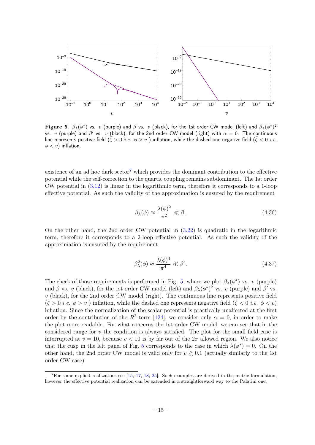

Figure 5.  $\beta_\lambda(\phi^*)$  vs.  $v$  (purple) and  $\beta$  vs.  $v$  (black), for the 1st order CW model (left) and  $\beta_\lambda(\phi^*)^2$ vs.  $v$  (purple) and  $\beta'$  vs.  $v$  (black), for the 2nd order CW model (right) with  $\alpha=0.$  The continuous line represents positive field ( $\zeta > 0$  *i.e.*  $\phi > v$ ) inflation, while the dashed one negative field ( $\zeta < 0$  *i.e.*  $\phi < v$ ) inflation.

existence of an ad hoc dark sector<sup>[7](#page-15-0)</sup> which provides the dominant contribution to the effective potential while the self-correction to the quartic coupling remains subdominant. The 1st order CW potential in [\(3.12\)](#page-5-7) is linear in the logarithmic term, therefore it corresponds to a 1-loop effective potential. As such the validity of the approximation is ensured by the requirement

<span id="page-15-1"></span>
$$
\beta_{\lambda}(\phi) \approx \frac{\lambda(\phi)^2}{\pi^2} \ll \beta. \tag{4.36}
$$

On the other hand, the 2nd order CW potential in [\(3.22\)](#page-6-3) is quadratic in the logarithmic term, therefore it corresponds to a 2-loop effective potential. As such the validity of the approximation is ensured by the requirement

$$
\beta_{\lambda}^2(\phi) \approx \frac{\lambda(\phi)^4}{\pi^4} \ll \beta' \,. \tag{4.37}
$$

The check of those requirements is performed in Fig. [5,](#page-15-1) where we plot  $\beta_{\lambda}(\phi^*)$  vs. v (purple) and  $\beta$  vs. v (black), for the 1st order CW model (left) and  $\beta_{\lambda}(\phi^*)^2$  vs. v (purple) and  $\beta'$  vs.  $v$  (black), for the 2nd order CW model (right). The continuous line represents positive field  $({\bar\zeta} > 0$  *i.e.*  $\phi > v$  ) inflation, while the dashed one represents negative field  $({\bar\zeta} < 0$  *i.e.*  $\phi < v$ ) inflation. Since the normalization of the scalar potential is practically unaffected at the first order by the contribution of the  $R^2$  term [\[124\]](#page-23-3), we consider only  $\alpha = 0$ , in order to make the plot more readable. For what concerns the 1st order CW model, we can see that in the considered range for  $v$  the condition is always satisfied. The plot for the small field case is interrupted at  $v = 10$ , because  $v < 10$  is by far out of the  $2\sigma$  allowed region. We also notice that the cusp in the left panel of Fig. [5](#page-15-1) corresponds to the case in which  $\lambda(\phi^*) = 0$ . On the other hand, the 2nd order CW model is valid only for  $v \gtrsim 0.1$  (actually similarly to the 1st order CW case).

<span id="page-15-0"></span> $7$ For some explicit realizations see [\[15,](#page-18-10) [17,](#page-18-9) [18,](#page-19-0) [25\]](#page-19-2). Such examples are derived in the metric formulation, however the effective potential realization can be extended in a straightforward way to the Palatini one.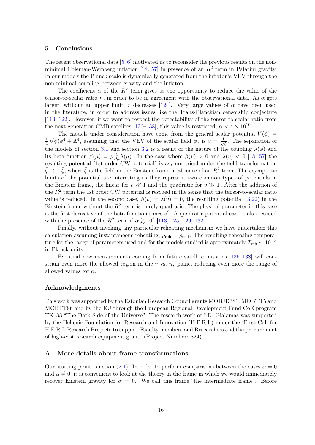# <span id="page-16-0"></span>5 Conclusions

The recent observational data [\[5,](#page-18-2) [6\]](#page-18-3) motivated us to reconsider the previous results on the nonminimal Coleman-Weinberg inflation  $[18, 57]$  $[18, 57]$  $[18, 57]$  in presence of an  $R<sup>2</sup>$  term in Palatini gravity. In our models the Planck scale is dynamically generated from the inflaton's VEV through the non-minimal coupling between gravity and the inflaton.

The coefficient  $\alpha$  of the  $R^2$  term gives us the opportunity to reduce the value of the tensor-to-scalar ratio r, in order to be in agreement with the observational data. As  $\alpha$  gets larger, without an upper limit, r decreases [\[124\]](#page-23-3). Very large values of  $\alpha$  have been used in the literature, in order to address issues like the Trans-Planckian censorship conjecture [\[113,](#page-23-1) [122\]](#page-23-0). However, if we want to respect the detectability of the tensor-to-scalar ratio from the next-generation CMB satelites [\[136–](#page-24-3)[138\]](#page-24-5), this value is restricted,  $\alpha < 4 \times 10^{10}$ .

The models under consideration have come from the general scalar potential  $V(\phi)$  = 1  $\frac{1}{4}\lambda(\phi)\phi^4 + \Lambda^4$ , assuming that the VEV of the scalar field  $\phi$ , is  $v = \frac{1}{\sqrt{2\pi}}$  $\overline{\overline{\xi}}$ . The separation of the models of section [3.1](#page-5-0) and section [3.2](#page-6-0) is a result of the nature of the coupling  $\lambda(\phi)$  and its beta-function  $\beta(\mu) = \mu \frac{\partial}{\partial \mu} \lambda(\mu)$ . In the case where  $\beta(v) > 0$  and  $\lambda(v) < 0$  [\[18,](#page-19-0) [57\]](#page-20-7) the resulting potential (1st order CW potential) is asymmetrical under the field transformation  $\bar{\zeta} \to -\bar{\zeta}$ , where  $\bar{\zeta}$  is the field in the Einstein frame in absence of an  $R^2$  term. The asymptotic limits of the potential are interesting as they represent two common types of potentials in the Einstein frame, the linear for  $v \ll 1$  and the quadratic for  $v \gg 1$ . After the addition of the  $R^2$  term the 1st order CW potential is rescued in the sense that the tensor-to-scalar ratio value is reduced. In the second case,  $\beta(v) = \lambda(v) = 0$ , the resulting potential [\(3.22\)](#page-6-3) in the Einstein frame without the  $R^2$  term is purely quadratic. The physical parameter in this case is the first derivative of the beta-function times  $v^2$ . A quadratic potential can be also rescued with the presence of the  $R^2$  term if  $\alpha \gtrsim 10^7$  [\[113,](#page-23-1) [125,](#page-23-4) [129,](#page-24-2) [132\]](#page-24-9).

Finally, without invoking any particular reheating mechanism we have undertaken this calculation assuming instantaneous reheating,  $\rho_{\text{reh}} = \rho_{\text{end}}$ . The resulting reheating temperature for the range of parameters used and for the models studied is approximately  $T_{\text{reh}} \sim 10^{-3}$ in Planck units.

Eventual new measurements coming from future satellite missions [\[136–](#page-24-3)[138\]](#page-24-5) will constrain even more the allowed region in the r vs.  $n_s$  plane, reducing even more the range of allowed values for  $\alpha$ .

#### Acknowledgments

This work was supported by the Estonian Research Council grants MOBJD381, MOBTT5 and MOBTT86 and by the EU through the European Regional Development Fund CoE program TK133 "The Dark Side of the Universe". The research work of I.D. Gialamas was supported by the Hellenic Foundation for Research and Innovation (H.F.R.I.) under the "First Call for H.F.R.I. Research Projects to support Faculty members and Researchers and the procurement of high-cost research equipment grant" (Project Number: 824).

#### <span id="page-16-1"></span>A More details about frame transformations

Our starting point is action [\(2.1\)](#page-3-4). In order to perform comparisons between the cases  $\alpha = 0$ and  $\alpha \neq 0$ , it is convenient to look at the theory in the frame in which we would immediately recover Einstein gravity for  $\alpha = 0$ . We call this frame "the intermediate frame". Before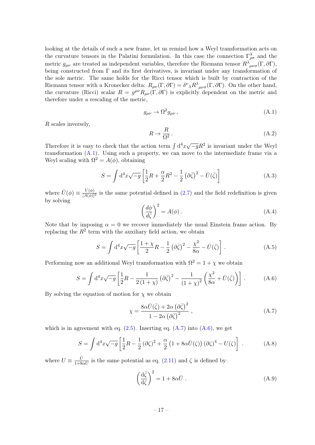looking at the details of such a new frame, let us remind how a Weyl transformation acts on the curvature tensors in the Palatini formulation. In this case the connection  $\Gamma^{\lambda}_{\rho\sigma}$  and the metric  $g_{\mu\nu}$  are treated as independent variables, therefore the Riemann tensor  $R^{\lambda}{}_{\mu\nu\sigma}(\Gamma,\partial\Gamma)$ , being constructed from  $\Gamma$  and its first derivatives, is invariant under any transformation of the sole metric. The same holds for the Ricci tensor which is built by contraction of the Riemann tensor with a Kronecker delta:  $R_{\mu\nu}(\Gamma, \partial \Gamma) = \delta^{\nu}{}_{\lambda} R^{\lambda}{}_{\mu\nu\sigma}(\Gamma, \partial \Gamma)$ . On the other hand, the curvature (Ricci) scalar  $R = g^{\mu\nu} R_{\mu\nu}(\Gamma, \partial \Gamma)$  is explicitly dependent on the metric and therefore under a rescaling of the metric,

<span id="page-17-0"></span>
$$
g_{\mu\nu} \to \Omega^2 g_{\mu\nu} \,, \tag{A.1}
$$

R scales inversely,

$$
R \to \frac{R}{\Omega^2} \,. \tag{A.2}
$$

Therefore it is easy to check that the action term  $\int d^4x \sqrt{-g}R^2$  is invariant under the Weyl transformation  $(A.1)$ . Using such a property, we can move to the intermediate frame via a Weyl scaling with  $\Omega^2 = A(\phi)$ , obtaining

$$
S = \int d^4x \sqrt{-g} \left[ \frac{1}{2}R + \frac{\alpha}{2}R^2 - \frac{1}{2} (\partial \bar{\zeta})^2 - \bar{U}(\bar{\zeta}) \right]
$$
(A.3)

where  $\bar{U}(\phi) \equiv \frac{V(\phi)}{[A(\phi)]^2}$  is the same potential defined in [\(2.7\)](#page-3-8) and the field redefinition is given by solving

$$
\left(\frac{d\phi}{d\bar{\zeta}}\right)^2 = A(\phi). \tag{A.4}
$$

Note that by imposing  $\alpha = 0$  we recover immediately the usual Einstein frame action. By replacing the  $R^2$  term with the auxiliary field action, we obtain

$$
S = \int d^4x \sqrt{-g} \left[ \frac{1+\chi}{2} R - \frac{1}{2} \left( \partial \bar{\zeta} \right)^2 - \frac{\chi^2}{8\alpha} - \bar{U}(\bar{\zeta}) \right]. \tag{A.5}
$$

Performing now an additional Weyl transformation with  $\Omega^2 = 1 + \chi$  we obtain

<span id="page-17-2"></span>
$$
S = \int d^4x \sqrt{-g} \left[ \frac{1}{2} R - \frac{1}{2(1+\chi)} \left( \partial \bar{\zeta} \right)^2 - \frac{1}{(1+\chi)^2} \left( \frac{\chi^2}{8\alpha} + \bar{U}(\bar{\zeta}) \right) \right]. \tag{A.6}
$$

By solving the equation of motion for  $\chi$  we obtain

<span id="page-17-1"></span>
$$
\chi = \frac{8\alpha \bar{U}(\bar{\zeta}) + 2\alpha (\partial \bar{\zeta})^2}{1 - 2\alpha (\partial \bar{\zeta})^2} , \qquad (A.7)
$$

which is in agreement with eq.  $(2.5)$ . Inserting eq.  $(A.7)$  into  $(A.6)$ , we get

<span id="page-17-3"></span>
$$
S = \int d^4x \sqrt{-g} \left[ \frac{1}{2} R - \frac{1}{2} (\partial \zeta)^2 + \frac{\alpha}{2} \left( 1 + 8\alpha \bar{U}(\zeta) \right) (\partial \zeta)^4 - U(\zeta) \right] . \tag{A.8}
$$

where  $U \equiv \frac{\bar{U}}{1+8}$  $\frac{U}{1+8\alpha U}$  is the same potential as eq. [\(2.11\)](#page-4-6) and  $\zeta$  is defined by

$$
\left(\frac{\mathrm{d}\bar{\zeta}}{\mathrm{d}\zeta}\right)^2 = 1 + 8\alpha \bar{U} . \tag{A.9}
$$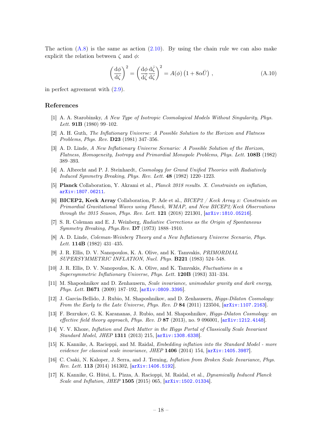The action  $(A.8)$  is the same as action  $(2.10)$ . By using the chain rule we can also make explicit the relation between  $\zeta$  and  $\phi$ :

$$
\left(\frac{\mathrm{d}\phi}{\mathrm{d}\zeta}\right)^2 = \left(\frac{\mathrm{d}\phi}{\mathrm{d}\bar{\zeta}}\frac{\mathrm{d}\bar{\zeta}}{\mathrm{d}\zeta}\right)^2 = A(\phi)\left(1 + 8\alpha\bar{U}\right) ,\qquad (A.10)
$$

in perfect agreement with [\(2.9\)](#page-4-7).

#### References

- <span id="page-18-0"></span>[1] A. A. Starobinsky, A New Type of Isotropic Cosmological Models Without Singularity, Phys. Lett. **91B** (1980) 99-102.
- [2] A. H. Guth, The Inflationary Universe: A Possible Solution to the Horizon and Flatness Problems, Phys. Rev. D23 (1981) 347–356.
- <span id="page-18-5"></span>[3] A. D. Linde, A New Inflationary Universe Scenario: A Possible Solution of the Horizon, Flatness, Homogeneity, Isotropy and Primordial Monopole Problems, Phys. Lett. 108B (1982) 389–393.
- <span id="page-18-1"></span>[4] A. Albrecht and P. J. Steinhardt, Cosmology for Grand Unified Theories with Radiatively Induced Symmetry Breaking, Phys. Rev. Lett. 48 (1982) 1220–1223.
- <span id="page-18-2"></span>[5] Planck Collaboration, Y. Akrami et al., Planck 2018 results. X. Constraints on inflation, [arXiv:1807.06211](http://arxiv.org/abs/1807.06211).
- <span id="page-18-3"></span>[6] BICEP2, Keck Array Collaboration, P. Ade et al., BICEP2 / Keck Array x: Constraints on Primordial Gravitational Waves using Planck, WMAP, and New BICEP2/Keck Observations through the 2015 Season, Phys. Rev. Lett. **121** (2018) 221301,  $[\text{arXiv:1810.05216}]$  $[\text{arXiv:1810.05216}]$  $[\text{arXiv:1810.05216}]$ .
- <span id="page-18-4"></span>[7] S. R. Coleman and E. J. Weinberg, Radiative Corrections as the Origin of Spontaneous Symmetry Breaking, Phys.Rev. D7 (1973) 1888–1910.
- <span id="page-18-6"></span>[8] A. D. Linde, Coleman-Weinberg Theory and a New Inflationary Universe Scenario, Phys. Lett. 114B (1982) 431–435.
- [9] J. R. Ellis, D. V. Nanopoulos, K. A. Olive, and K. Tamvakis, PRIMORDIAL SUPERSYMMETRIC INFLATION, Nucl. Phys. B221 (1983) 524–548.
- <span id="page-18-7"></span>[10] J. R. Ellis, D. V. Nanopoulos, K. A. Olive, and K. Tamvakis, Fluctuations in a Supersymmetric Inflationary Universe, Phys. Lett. 120B (1983) 331–334.
- <span id="page-18-8"></span>[11] M. Shaposhnikov and D. Zenhausern, *Scale invariance*, unimodular gravity and dark energy, Phys. Lett. B671 (2009) 187–192, [[arXiv:0809.3395](http://arxiv.org/abs/0809.3395)].
- [12] J. Garcia-Bellido, J. Rubio, M. Shaposhnikov, and D. Zenhausern, Higgs-Dilaton Cosmology: From the Early to the Late Universe, Phys. Rev. D 84 (2011) 123504,  $arXiv:1107.2163$ .
- [13] F. Bezrukov, G. K. Karananas, J. Rubio, and M. Shaposhnikov, Higgs-Dilaton Cosmology: an effective field theory approach, Phys. Rev. D  $87$  (2013), no. 9 096001,  $\arXiv:1212.4148$  $\arXiv:1212.4148$ .
- [14] V. V. Khoze, Inflation and Dark Matter in the Higgs Portal of Classically Scale Invariant Standard Model, JHEP 1311 (2013) 215, [[arXiv:1308.6338](http://arxiv.org/abs/1308.6338)].
- <span id="page-18-10"></span>[15] K. Kannike, A. Racioppi, and M. Raidal, Embedding inflation into the Standard Model - more evidence for classical scale invariance, JHEP 1406 (2014) 154,  $[ary:1405.3987]$ .
- [16] C. Csaki, N. Kaloper, J. Serra, and J. Terning, Inflation from Broken Scale Invariance, Phys. Rev. Lett. 113 (2014) 161302, [[arXiv:1406.5192](http://arxiv.org/abs/1406.5192)].
- <span id="page-18-9"></span>[17] K. Kannike, G. Hütsi, L. Pizza, A. Racioppi, M. Raidal, et al., Dynamically Induced Planck Scale and Inflation, JHEP 1505 (2015) 065,  $arXiv:1502.01334$ .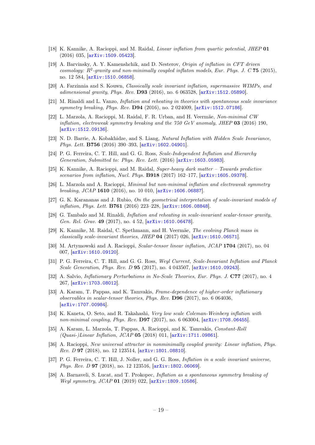- <span id="page-19-0"></span>[18] K. Kannike, A. Racioppi, and M. Raidal, Linear inflation from quartic potential, JHEP 01 (2016) 035, [[arXiv:1509.05423](http://arxiv.org/abs/1509.05423)].
- [19] A. Barvinsky, A. Y. Kamenshchik, and D. Nesterov, Origin of inflation in CFT driven cosmology:  $R^2$ -gravity and non-minimally coupled inflaton models, Eur. Phys. J. C 75 (2015), no. 12 584, [[arXiv:1510.06858](http://arxiv.org/abs/1510.06858)].
- [20] A. Farzinnia and S. Kouwn, Classically scale invariant inflation, supermassive WIMPs, and adimensional gravity, Phys. Rev. D93 (2016), no. 6 063528, [[arXiv:1512.05890](http://arxiv.org/abs/1512.05890)].
- [21] M. Rinaldi and L. Vanzo, Inflation and reheating in theories with spontaneous scale invariance symmetry breaking, Phys. Rev. **D94** (2016), no. 2 024009,  $\left[$ [arXiv:1512.07186](http://arxiv.org/abs/1512.07186).
- [22] L. Marzola, A. Racioppi, M. Raidal, F. R. Urban, and H. Veermäe, Non-minimal CW inflation, electroweak symmetry breaking and the  $750 \text{ GeV}$  anomaly, JHEP 03 (2016) 190, [[arXiv:1512.09136](http://arxiv.org/abs/1512.09136)].
- [23] N. D. Barrie, A. Kobakhidze, and S. Liang, Natural Inflation with Hidden Scale Invariance, Phys. Lett. B756 (2016) 390-393, [[arXiv:1602.04901](http://arxiv.org/abs/1602.04901)].
- [24] P. G. Ferreira, C. T. Hill, and G. G. Ross, Scale-Independent Inflation and Hierarchy Generation, Submitted to: Phys. Rev. Lett. (2016) [[arXiv:1603.05983](http://arxiv.org/abs/1603.05983)].
- <span id="page-19-2"></span>[25] K. Kannike, A. Racioppi, and M. Raidal, Super-heavy dark matter – Towards predictive scenarios from inflation, Nucl. Phys. **B918** (2017) 162-177,  $\left[ \frac{\text{arXiv:1605.09378}}{\text{arXiv:1605.09378}} \right]$  $\left[ \frac{\text{arXiv:1605.09378}}{\text{arXiv:1605.09378}} \right]$  $\left[ \frac{\text{arXiv:1605.09378}}{\text{arXiv:1605.09378}} \right]$ .
- <span id="page-19-1"></span>[26] L. Marzola and A. Racioppi, Minimal but non-minimal inflation and electroweak symmetry breaking, JCAP 1610 (2016), no. 10 010,  $[ary:1606.06887]$ .
- [27] G. K. Karananas and J. Rubio, On the geometrical interpretation of scale-invariant models of inflation, Phys. Lett. B761 (2016) 223–228, [[arXiv:1606.08848](http://arxiv.org/abs/1606.08848)].
- [28] G. Tambalo and M. Rinaldi, Inflation and reheating in scale-invariant scalar-tensor gravity, Gen. Rel. Grav. 49 (2017), no. 4 52,  $\ar{xiv:1610.06478}$ .
- [29] K. Kannike, M. Raidal, C. Spethmann, and H. Veermäe, The evolving Planck mass in classically scale-invariant theories, JHEP  $04$  (2017) 026,  $[\text{arXiv}:1610.06571]$ .
- [30] M. Artymowski and A. Racioppi, Scalar-tensor linear inflation, JCAP 1704 (2017), no. 04 007, [[arXiv:1610.09120](http://arxiv.org/abs/1610.09120)].
- [31] P. G. Ferreira, C. T. Hill, and G. G. Ross, Weyl Current, Scale-Invariant Inflation and Planck Scale Generation, Phys. Rev. D 95 (2017), no. 4 043507,  $arXiv:1610.09243$ .
- [32] A. Salvio, Inflationary Perturbations in No-Scale Theories, Eur. Phys. J. C77 (2017), no. 4 267, [[arXiv:1703.08012](http://arxiv.org/abs/1703.08012)].
- [33] A. Karam, T. Pappas, and K. Tamvakis, Frame-dependence of higher-order inflationary observables in scalar-tensor theories, Phys. Rev. D96 (2017), no. 6 064036, [[arXiv:1707.00984](http://arxiv.org/abs/1707.00984)].
- [34] K. Kaneta, O. Seto, and R. Takahashi, Very low scale Coleman-Weinberg inflation with non-minimal coupling, Phys. Rev. **D97** (2017), no. 6 063004, [[arXiv:1708.06455](http://arxiv.org/abs/1708.06455)].
- [35] A. Karam, L. Marzola, T. Pappas, A. Racioppi, and K. Tamvakis, Constant-Roll (Quasi-)Linear Inflation, JCAP 05 (2018) 011, [[arXiv:1711.09861](http://arxiv.org/abs/1711.09861)].
- [36] A. Racioppi, New universal attractor in nonminimally coupled gravity: Linear inflation, Phys. Rev. D 97 (2018), no. 12 123514, [[arXiv:1801.08810](http://arxiv.org/abs/1801.08810)].
- [37] P. G. Ferreira, C. T. Hill, J. Noller, and G. G. Ross, Inflation in a scale invariant universe, Phys. Rev. D 97 (2018), no. 12 123516,  $arXiv:1802.06069$ .
- [38] A. Barnaveli, S. Lucat, and T. Prokopec, Inflation as a spontaneous symmetry breaking of Weyl symmetry, JCAP 01 (2019) 022, [[arXiv:1809.10586](http://arxiv.org/abs/1809.10586)].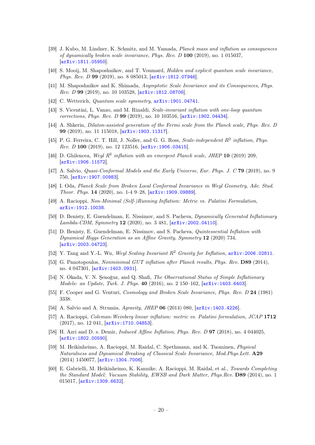- <span id="page-20-8"></span>[39] J. Kubo, M. Lindner, K. Schmitz, and M. Yamada, Planck mass and inflation as consequences of dynamically broken scale invariance, Phys. Rev. D 100 (2019), no. 1 015037, [[arXiv:1811.05950](http://arxiv.org/abs/1811.05950)].
- [40] S. Mooij, M. Shaposhnikov, and T. Voumard, Hidden and explicit quantum scale invariance, Phys. Rev. D 99 (2019), no. 8 085013,  $arXiv:1812.07946$ .
- [41] M. Shaposhnikov and K. Shimada, Asymptotic Scale Invariance and its Consequences, Phys. Rev. D 99 (2019), no. 10 103528, [[arXiv:1812.08706](http://arxiv.org/abs/1812.08706)].
- [42] C. Wetterich, Quantum scale symmetry,  $arXiv:1901.04741$ .
- <span id="page-20-9"></span>[43] S. Vicentini, L. Vanzo, and M. Rinaldi, Scale-invariant inflation with one-loop quantum corrections, Phys. Rev. D 99 (2019), no. 10 103516, [[arXiv:1902.04434](http://arxiv.org/abs/1902.04434)].
- [44] A. Shkerin, Dilaton-assisted generation of the Fermi scale from the Planck scale, Phys. Rev. D 99 (2019), no. 11 115018, [[arXiv:1903.11317](http://arxiv.org/abs/1903.11317)].
- [45] P. G. Ferreira, C. T. Hill, J. Noller, and G. G. Ross, Scale-independent  $R^2$  inflation, Phys. Rev. D 100 (2019), no. 12 123516, [[arXiv:1906.03415](http://arxiv.org/abs/1906.03415)].
- [46] D. Ghilencea, Weyl  $R^2$  inflation with an emergent Planck scale, JHEP 10 (2019) 209, [[arXiv:1906.11572](http://arxiv.org/abs/1906.11572)].
- [47] A. Salvio, *Quasi-Conformal Models and the Early Universe, Eur. Phys. J. C* 79 (2019), no. 9 750, [[arXiv:1907.00983](http://arxiv.org/abs/1907.00983)].
- [48] I. Oda, Planck Scale from Broken Local Conformal Invariance in Weyl Geometry, Adv. Stud. Theor. Phys. 14 (2020), no. 1-4 9–28, [[arXiv:1909.09889](http://arxiv.org/abs/1909.09889)].
- [49] A. Racioppi, Non-Minimal (Self-)Running Inflation: Metric vs. Palatini Formulation, [arXiv:1912.10038](http://arxiv.org/abs/1912.10038).
- [50] D. Benisty, E. Guendelman, E. Nissimov, and S. Pacheva, Dynamically Generated Inflationary Lambda-CDM, Symmetry 12 (2020), no. 3 481, [arXiv: 2002.04110].
- [51] D. Benisty, E. Guendelman, E. Nissimov, and S. Pacheva, Quintessential Inflation with Dynamical Higgs Generation as an Affine Gravity, Symmetry 12 (2020) 734, [[arXiv:2003.04723](http://arxiv.org/abs/2003.04723)].
- <span id="page-20-0"></span>[52] Y. Tang and Y.-L. Wu, Weyl Scaling Invariant R<sup>2</sup> Gravity for Inflation,  $arXiv:2006.02811$ .
- <span id="page-20-1"></span>[53] G. Panotopoulos, Nonminimal GUT inflation after Planck results, Phys. Rev. D89 (2014), no. 4 047301, [[arXiv:1403.0931](http://arxiv.org/abs/1403.0931)].
- <span id="page-20-2"></span>[54] N. Okada, V. N. Senoğuz, and Q. Shafi, *The Observational Status of Simple Inflationary* Models: an Update, Turk. J. Phys. 40 (2016), no. 2 150–162, [[arXiv:1403.6403](http://arxiv.org/abs/1403.6403)].
- <span id="page-20-3"></span>[55] F. Cooper and G. Venturi, Cosmology and Broken Scale Invariance, Phys. Rev. D 24 (1981) 3338.
- <span id="page-20-10"></span>[56] A. Salvio and A. Strumia, Agravity, JHEP 06 (2014) 080, [[arXiv:1403.4226](http://arxiv.org/abs/1403.4226)].
- <span id="page-20-7"></span>[57] A. Racioppi, Coleman-Weinberg linear inflation: metric vs. Palatini formulation, JCAP 1712 (2017), no. 12 041, [[arXiv:1710.04853](http://arxiv.org/abs/1710.04853)].
- <span id="page-20-4"></span>[58] H. Azri and D. s. Demir, Induced Affine Inflation, Phys. Rev. D 97 (2018), no. 4 044025, [[arXiv:1802.00590](http://arxiv.org/abs/1802.00590)].
- <span id="page-20-5"></span>[59] M. Heikinheimo, A. Racioppi, M. Raidal, C. Spethmann, and K. Tuominen, Physical Naturalness and Dynamical Breaking of Classical Scale Invariance, Mod.Phys.Lett. A29 (2014) 1450077, [[arXiv:1304.7006](http://arxiv.org/abs/1304.7006)].
- <span id="page-20-6"></span>[60] E. Gabrielli, M. Heikinheimo, K. Kannike, A. Racioppi, M. Raidal, et al., Towards Completing the Standard Model: Vacuum Stability, EWSB and Dark Matter, Phys.Rev. D89 (2014), no. 1 015017, [[arXiv:1309.6632](http://arxiv.org/abs/1309.6632)].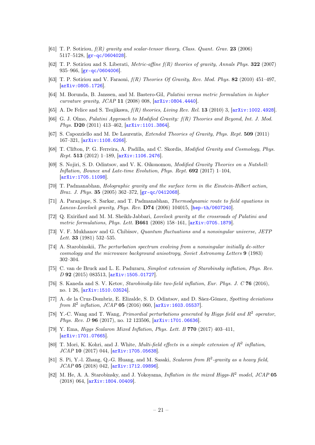- <span id="page-21-0"></span>[61] T. P. Sotiriou,  $f(R)$  gravity and scalar-tensor theory, Class. Quant. Grav. 23 (2006) 5117–5128, [[gr-qc/0604028](http://arxiv.org/abs/gr-qc/0604028)].
- [62] T. P. Sotiriou and S. Liberati, *Metric-affine f(R) theories of gravity, Annals Phys.* **322** (2007)  $935-966$ ,  $|gr-qc/0604006|$  $|gr-qc/0604006|$  $|gr-qc/0604006|$ .
- <span id="page-21-5"></span>[63] T. P. Sotiriou and V. Faraoni,  $f(R)$  Theories Of Gravity, Rev. Mod. Phys. 82 (2010) 451–497, [[arXiv:0805.1726](http://arxiv.org/abs/0805.1726)].
- [64] M. Borunda, B. Janssen, and M. Bastero-Gil, Palatini versus metric formulation in higher curvature gravity, JCAP 11 (2008) 008, [[arXiv:0804.4440](http://arxiv.org/abs/0804.4440)].
- [65] A. De Felice and S. Tsujikawa,  $f(R)$  theories, Living Rev. Rel. 13 (2010) 3, [[arXiv:1002.4928](http://arxiv.org/abs/1002.4928)].
- [66] G. J. Olmo, Palatini Approach to Modified Gravity:  $f(R)$  Theories and Beyond, Int. J. Mod. Phys. **D20** (2011) 413-462,  $\overline{arXiv:1101.3864}$  $\overline{arXiv:1101.3864}$  $\overline{arXiv:1101.3864}$ .
- [67] S. Capozziello and M. De Laurentis, Extended Theories of Gravity, Phys. Rept. 509 (2011) 167–321, [[arXiv:1108.6266](http://arxiv.org/abs/1108.6266)].
- [68] T. Clifton, P. G. Ferreira, A. Padilla, and C. Skordis, Modified Gravity and Cosmology, Phys. Rept. 513 (2012) 1–189, [[arXiv:1106.2476](http://arxiv.org/abs/1106.2476)].
- <span id="page-21-1"></span>[69] S. Nojiri, S. D. Odintsov, and V. K. Oikonomou, Modified Gravity Theories on a Nutshell: Inflation, Bounce and Late-time Evolution, Phys. Rept. 692 (2017) 1–104, [[arXiv:1705.11098](http://arxiv.org/abs/1705.11098)].
- <span id="page-21-2"></span>[70] T. Padmanabhan, Holographic gravity and the surface term in the Einstein-Hilbert action, *Braz. J. Phys.* **35** (2005) 362–372,  $gr-qc/0412068$ .
- <span id="page-21-3"></span>[71] A. Paranjape, S. Sarkar, and T. Padmanabhan, *Thermodynamic route to field equations in* Lancos-Lovelock gravity, Phys. Rev. D74 (2006) 104015, [[hep-th/0607240](http://arxiv.org/abs/hep-th/0607240)].
- <span id="page-21-4"></span>[72] Q. Exirifard and M. M. Sheikh-Jabbari, Lovelock gravity at the crossroads of Palatini and metric formulations, Phys. Lett. **B661** (2008) 158-161,  $\left[ \frac{\text{arXiv:0705.1879}}{\text{arXiv:0705.1879}} \right]$  $\left[ \frac{\text{arXiv:0705.1879}}{\text{arXiv:0705.1879}} \right]$  $\left[ \frac{\text{arXiv:0705.1879}}{\text{arXiv:0705.1879}} \right]$ .
- <span id="page-21-6"></span>[73] V. F. Mukhanov and G. Chibisov, Quantum fluctuations and a nonsingular universe, JETP *Lett.* **33** (1981) 532–535.
- <span id="page-21-7"></span>[74] A. Starobinskii, The perturbation spectrum evolving from a nonsingular initially de-sitter cosmology and the microwave background anisotropy, Soviet Astronomy Letters 9 (1983) 302–304.
- <span id="page-21-8"></span>[75] C. van de Bruck and L. E. Paduraru, Simplest extension of Starobinsky inflation, Phys. Rev. D 92 (2015) 083513, [[arXiv:1505.01727](http://arxiv.org/abs/1505.01727)].
- [76] S. Kaneda and S. V. Ketov, Starobinsky-like two-field inflation, Eur. Phys. J. C 76 (2016), no. 1 26, [[arXiv:1510.03524](http://arxiv.org/abs/1510.03524)].
- [77] A. de la Cruz-Dombriz, E. Elizalde, S. D. Odintsov, and D. Sáez-Gómez, Spotting deviations from  $R^2$  inflation, JCAP 05 (2016) 060,  $[$ [arXiv:1603.05537](http://arxiv.org/abs/1603.05537)].
- [78] Y.-C. Wang and T. Wang, *Primordial perturbations generated by Higgs field and*  $R^2$  operator, Phys. Rev. D 96 (2017), no. 12 123506,  $[ary:1701.06636]$ .
- [79] Y. Ema, *Higgs Scalaron Mixed Inflation, Phys. Lett. B* 770 (2017) 403-411, [[arXiv:1701.07665](http://arxiv.org/abs/1701.07665)].
- [80] T. Mori, K. Kohri, and J. White, *Multi-field effects in a simple extension of*  $R^2$  *inflation*,  $JCAP$  10 (2017) 044,  $|arXiv:1705.05638|$  $|arXiv:1705.05638|$  $|arXiv:1705.05638|$ .
- [81] S. Pi, Y.-l. Zhang, Q.-G. Huang, and M. Sasaki, Scalaron from  $R^2$ -gravity as a heavy field, JCAP 05 (2018) 042, [[arXiv:1712.09896](http://arxiv.org/abs/1712.09896)].
- [82] M. He, A. A. Starobinsky, and J. Yokoyama, *Inflation in the mixed Higgs-R<sup>2</sup> model, JCAP* 05 (2018) 064, [[arXiv:1804.00409](http://arxiv.org/abs/1804.00409)].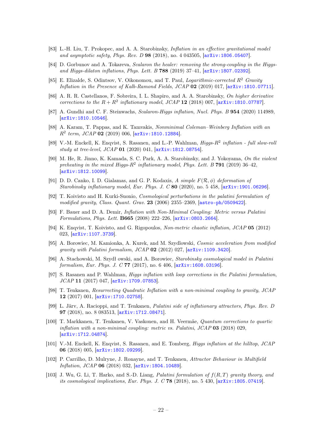- [83] L.-H. Liu, T. Prokopec, and A. A. Starobinsky, Inflation in an effective gravitational model and asymptotic safety, Phys. Rev. D 98 (2018), no. 4 043505, [[arXiv:1806.05407](http://arxiv.org/abs/1806.05407)].
- [84] D. Gorbunov and A. Tokareva, Scalaron the healer: removing the strong-coupling in the Higgsand Higgs-dilaton inflations, Phys. Lett. B 788  $(2019)$  37-41,  $\arxiv:1807.02392$ .
- [85] E. Elizalde, S. Odintsov, V. Oikonomou, and T. Paul, *Logarithmic-corrected*  $R^2$  Gravity Inflation in the Presence of Kalb-Ramond Fields, JCAP 02 (2019) 017, [[arXiv:1810.07711](http://arxiv.org/abs/1810.07711)].
- [86] A. R. R. Castellanos, F. Sobreira, I. L. Shapiro, and A. A. Starobinsky, On higher derivative corrections to the  $R + R^2$  inflationary model, JCAP 12 (2018) 007,  $[\text{arXiv:1810.07787}]$  $[\text{arXiv:1810.07787}]$  $[\text{arXiv:1810.07787}]$ .
- [87] A. Gundhi and C. F. Steinwachs, Scalaron-Higgs inflation, Nucl. Phys. B 954 (2020) 114989, [[arXiv:1810.10546](http://arxiv.org/abs/1810.10546)].
- [88] A. Karam, T. Pappas, and K. Tamvakis, Nonminimal Coleman–Weinberg Inflation with an  $R^2$  term,  $JCAP$  02 (2019) 006,  $[$ [arXiv:1810.12884](http://arxiv.org/abs/1810.12884)].
- [89] V.-M. Enckell, K. Enqvist, S. Rasanen, and L.-P. Wahlman, *Higgs-R<sup>2</sup> inflation full slow-rold* study at tree-level, JCAP 01 (2020) 041, [[arXiv:1812.08754](http://arxiv.org/abs/1812.08754)].
- [90] M. He, R. Jinno, K. Kamada, S. C. Park, A. A. Starobinsky, and J. Yokoyama, On the violent preheating in the mixed Higgs- $R^2$  inflationary model, Phys. Lett. B 791 (2019) 36-42, [[arXiv:1812.10099](http://arxiv.org/abs/1812.10099)].
- <span id="page-22-0"></span>[91] D. D. Canko, I. D. Gialamas, and G. P. Kodaxis, A simple  $F(\mathcal{R}, \phi)$  deformation of Starobinsky inflationary model, Eur. Phys. J. C 80 (2020), no. 5 458, [[arXiv:1901.06296](http://arxiv.org/abs/1901.06296)].
- <span id="page-22-1"></span>[92] T. Koivisto and H. Kurki-Suonio, Cosmological perturbations in the palatini formulation of modified gravity, Class. Quant. Grav.  $23$  (2006) 2355–2369, [[astro-ph/0509422](http://arxiv.org/abs/astro-ph/0509422)].
- [93] F. Bauer and D. A. Demir, Inflation with Non-Minimal Coupling: Metric versus Palatini Formulations, Phys. Lett. B665 (2008) 222–226, [[arXiv:0803.2664](http://arxiv.org/abs/0803.2664)].
- [94] K. Enqvist, T. Koivisto, and G. Rigopoulos, Non-metric chaotic inflation, JCAP 05 (2012) 023, [[arXiv:1107.3739](http://arxiv.org/abs/1107.3739)].
- [95] A. Borowiec, M. Kamionka, A. Kurek, and M. Szydlowski, Cosmic acceleration from modified gravity with Palatini formalism, JCAP 02 (2012) 027, [[arXiv:1109.3420](http://arxiv.org/abs/1109.3420)].
- [96] A. Stachowski, M. Szydł owski, and A. Borowiec, Starobinsky cosmological model in Palatini formalism, Eur. Phys. J. C 77 (2017), no. 6 406,  $[arXiv:1608.03196]$  $[arXiv:1608.03196]$  $[arXiv:1608.03196]$ .
- [97] S. Rasanen and P. Wahlman, Higgs inflation with loop corrections in the Palatini formulation, JCAP 11 (2017) 047, [[arXiv:1709.07853](http://arxiv.org/abs/1709.07853)].
- [98] T. Tenkanen, Resurrecting Quadratic Inflation with a non-minimal coupling to gravity, JCAP 12 (2017) 001, [[arXiv:1710.02758](http://arxiv.org/abs/1710.02758)].
- [99] L. Järv, A. Racioppi, and T. Tenkanen, Palatini side of inflationary attractors, Phys. Rev. D 97 (2018), no. 8 083513, [[arXiv:1712.08471](http://arxiv.org/abs/1712.08471)].
- [100] T. Markkanen, T. Tenkanen, V. Vaskonen, and H. Veermäe, Quantum corrections to quartic inflation with a non-minimal coupling: metric vs. Palatini, JCAP 03 (2018) 029, [[arXiv:1712.04874](http://arxiv.org/abs/1712.04874)].
- [101] V.-M. Enckell, K. Enqvist, S. Rasanen, and E. Tomberg, Higgs inflation at the hilltop, JCAP 06 (2018) 005, [[arXiv:1802.09299](http://arxiv.org/abs/1802.09299)].
- [102] P. Carrilho, D. Mulryne, J. Ronayne, and T. Tenkanen, Attractor Behaviour in Multifield Inflation, JCAP 06 (2018) 032,  $[ary:1804.10489]$ .
- [103] J. Wu, G. Li, T. Harko, and S.-D. Liang, *Palatini formulation of*  $f(R,T)$  *gravity theory, and* its cosmological implications, Eur. Phys. J. C  $78$  (2018), no. 5 430,  $[arXiv:1805.07419]$  $[arXiv:1805.07419]$  $[arXiv:1805.07419]$ .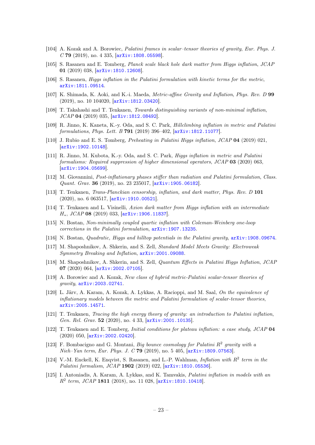- [104] A. Kozak and A. Borowiec, Palatini frames in scalar–tensor theories of gravity, Eur. Phys. J.  $C$  79 (2019), no. 4 335,  $\left[ \ar{\text{Xiv}}:1808.05598 \right]$ .
- [105] S. Rasanen and E. Tomberg, Planck scale black hole dark matter from Higgs inflation, JCAP 01 (2019) 038, [[arXiv:1810.12608](http://arxiv.org/abs/1810.12608)].
- [106] S. Rasanen, Higgs inflation in the Palatini formulation with kinetic terms for the metric, [arXiv:1811.09514](http://arxiv.org/abs/1811.09514).
- [107] K. Shimada, K. Aoki, and K.-i. Maeda, Metric-affine Gravity and Inflation, Phys. Rev. D 99 (2019), no. 10 104020, [[arXiv:1812.03420](http://arxiv.org/abs/1812.03420)].
- [108] T. Takahashi and T. Tenkanen, Towards distinguishing variants of non-minimal inflation, JCAP 04 (2019) 035, [[arXiv:1812.08492](http://arxiv.org/abs/1812.08492)].
- [109] R. Jinno, K. Kaneta, K.-y. Oda, and S. C. Park, Hillclimbing inflation in metric and Palatini formulations, Phys. Lett. B 791 (2019) 396–402, [[arXiv:1812.11077](http://arxiv.org/abs/1812.11077)].
- [110] J. Rubio and E. S. Tomberg, Preheating in Palatini Higgs inflation, JCAP 04 (2019) 021, [[arXiv:1902.10148](http://arxiv.org/abs/1902.10148)].
- [111] R. Jinno, M. Kubota, K.-y. Oda, and S. C. Park, Higgs inflation in metric and Palatini formalisms: Required suppression of higher dimensional operators, JCAP 03 (2020) 063, [[arXiv:1904.05699](http://arxiv.org/abs/1904.05699)].
- [112] M. Giovannini, Post-inflationary phases stiffer than radiation and Palatini formulation, Class. Quant. Grav. 36 (2019), no. 23 235017, [[arXiv:1905.06182](http://arxiv.org/abs/1905.06182)].
- <span id="page-23-1"></span>[113] T. Tenkanen, Trans-Planckian censorship, inflation, and dark matter, Phys. Rev. D 101 (2020), no. 6 063517, [[arXiv:1910.00521](http://arxiv.org/abs/1910.00521)].
- [114] T. Tenkanen and L. Visinelli, Axion dark matter from Higgs inflation with an intermediate H∗, JCAP 08 (2019) 033, [[arXiv:1906.11837](http://arxiv.org/abs/1906.11837)].
- [115] N. Bostan, Non-minimally coupled quartic inflation with Coleman-Weinberg one-loop corrections in the Palatini formulation, [arXiv:1907.13235](http://arxiv.org/abs/1907.13235).
- [116] N. Bostan, Quadratic, Higgs and hilltop potentials in the Palatini gravity, [arXiv:1908.09674](http://arxiv.org/abs/1908.09674).
- <span id="page-23-5"></span>[117] M. Shaposhnikov, A. Shkerin, and S. Zell, Standard Model Meets Gravity: Electroweak Symmetry Breaking and Inflation, [arXiv:2001.09088](http://arxiv.org/abs/2001.09088).
- <span id="page-23-6"></span>[118] M. Shaposhnikov, A. Shkerin, and S. Zell, Quantum Effects in Palatini Higgs Inflation, JCAP 07 (2020) 064, [[arXiv:2002.07105](http://arxiv.org/abs/2002.07105)].
- [119] A. Borowiec and A. Kozak, New class of hybrid metric-Palatini scalar-tensor theories of gravity, [arXiv:2003.02741](http://arxiv.org/abs/2003.02741).
- [120] L. Järv, A. Karam, A. Kozak, A. Lykkas, A. Racioppi, and M. Saal, On the equivalence of inflationary models between the metric and Palatini formulation of scalar-tensor theories, [arXiv:2005.14571](http://arxiv.org/abs/2005.14571).
- <span id="page-23-2"></span>[121] T. Tenkanen, Tracing the high energy theory of gravity: an introduction to Palatini inflation, Gen. Rel. Grav. 52 (2020), no. 4 33, [[arXiv:2001.10135](http://arxiv.org/abs/2001.10135)].
- <span id="page-23-0"></span>[122] T. Tenkanen and E. Tomberg, Initial conditions for plateau inflation: a case study, JCAP 04 (2020) 050, [[arXiv:2002.02420](http://arxiv.org/abs/2002.02420)].
- [123] F. Bombacigno and G. Montani, Big bounce cosmology for Palatini  $R^2$  gravity with a Nieh–Yan term, Eur. Phys. J. C 79 (2019), no. 5 405,  $arXiv:1809.07563$ .
- <span id="page-23-3"></span>[124] V.-M. Enckell, K. Enqvist, S. Rasanen, and L.-P. Wahlman, Inflation with  $R^2$  term in the Palatini formalism, JCAP 1902 (2019) 022, [[arXiv:1810.05536](http://arxiv.org/abs/1810.05536)].
- <span id="page-23-4"></span>[125] I. Antoniadis, A. Karam, A. Lykkas, and K. Tamvakis, Palatini inflation in models with an  $R^2$  term, JCAP 1811 (2018), no. 11 028,  $[$ [arXiv:1810.10418](http://arxiv.org/abs/1810.10418)].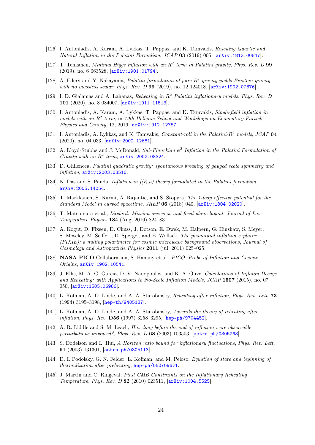- [126] I. Antoniadis, A. Karam, A. Lykkas, T. Pappas, and K. Tamvakis, Rescuing Quartic and Natural Inflation in the Palatini Formalism, JCAP 03 (2019) 005,  $arXiv:1812.00847$ .
- <span id="page-24-8"></span>[127] T. Tenkanen, Minimal Higgs inflation with an  $R^2$  term in Palatini gravity, Phys. Rev. D 99 (2019), no. 6 063528, [[arXiv:1901.01794](http://arxiv.org/abs/1901.01794)].
- [128] A. Edery and Y. Nakayama, Palatini formulation of pure  $R^2$  gravity yields Einstein gravity with no massless scalar, Phys. Rev. D 99 (2019), no. 12 124018,  $[array:1902.07876]$ .
- <span id="page-24-2"></span>[129] I. D. Gialamas and A. Lahanas, Reheating in  $R^2$  Palatini inflationary models, Phys. Rev. D 101 (2020), no. 8 084007, [[arXiv:1911.11513](http://arxiv.org/abs/1911.11513)].
- [130] I. Antoniadis, A. Karam, A. Lykkas, T. Pappas, and K. Tamvakis, Single-field inflation in models with an  $R^2$  term, in 19th Hellenic School and Workshops on Elementary Particle Physics and Gravity, 12, 2019. [arXiv:1912.12757](http://arxiv.org/abs/1912.12757).
- [131] I. Antoniadis, A. Lykkas, and K. Tamvakis, Constant-roll in the Palatini-R<sup>2</sup> models, JCAP 04 (2020), no. 04 033, [[arXiv:2002.12681](http://arxiv.org/abs/2002.12681)].
- <span id="page-24-9"></span>[132] A. Lloyd-Stubbs and J. McDonald, Sub-Planckian  $\phi^2$  Inflation in the Palatini Formulation of Gravity with an  $R^2$  term,  $arXiv:2002.08324$ .
- [133] D. Ghilencea, Palatini quadratic gravity: spontaneous breaking of gauged scale symmetry and inflation, [arXiv:2003.08516](http://arxiv.org/abs/2003.08516).
- <span id="page-24-0"></span>[134] N. Das and S. Panda, *Inflation in*  $f(R,h)$  *theory formulated in the Palatini formalism*, [arXiv:2005.14054](http://arxiv.org/abs/2005.14054).
- <span id="page-24-1"></span>[135] T. Markkanen, S. Nurmi, A. Rajantie, and S. Stopyra, The 1-loop effective potential for the Standard Model in curved spacetime, JHEP 06 (2018) 040, [[arXiv:1804.02020](http://arxiv.org/abs/1804.02020)].
- <span id="page-24-3"></span>[136] T. Matsumura et al., Litebird: Mission overview and focal plane layout, Journal of Low Temperature Physics 184 (Aug, 2016) 824–831.
- <span id="page-24-4"></span>[137] A. Kogut, D. Fixsen, D. Chuss, J. Dotson, E. Dwek, M. Halpern, G. Hinshaw, S. Meyer, S. Moseley, M. Seiffert, D. Spergel, and E. Wollack, The primordial inflation explorer (PIXIE): a nulling polarimeter for cosmic microwave background observations, Journal of Cosmology and Astroparticle Physics 2011 (jul, 2011) 025–025.
- <span id="page-24-5"></span>[138] NASA PICO Collaboration, S. Hanany et al., PICO: Probe of Inflation and Cosmic Origins, [arXiv:1902.10541](http://arxiv.org/abs/1902.10541).
- <span id="page-24-6"></span>[139] J. Ellis, M. A. G. Garcia, D. V. Nanopoulos, and K. A. Olive, Calculations of Inflaton Decays and Reheating: with Applications to No-Scale Inflation Models, JCAP 1507 (2015), no. 07 050, [[arXiv:1505.06986](http://arxiv.org/abs/1505.06986)].
- <span id="page-24-7"></span>[140] L. Kofman, A. D. Linde, and A. A. Starobinsky, Reheating after inflation, Phys. Rev. Lett. 73 (1994) 3195–3198, [[hep-th/9405187](http://arxiv.org/abs/hep-th/9405187)].
- [141] L. Kofman, A. D. Linde, and A. A. Starobinsky, Towards the theory of reheating after inflation, Phys. Rev. D56 (1997) 3258–3295, [[hep-ph/9704452](http://arxiv.org/abs/hep-ph/9704452)].
- [142] A. R. Liddle and S. M. Leach, How long before the end of inflation were observable perturbations produced?, Phys. Rev. D 68 (2003) 103503, [[astro-ph/0305263](http://arxiv.org/abs/astro-ph/0305263)].
- [143] S. Dodelson and L. Hui, A Horizon ratio bound for inflationary fluctuations, Phys. Rev. Lett. 91 (2003) 131301, [[astro-ph/0305113](http://arxiv.org/abs/astro-ph/0305113)].
- [144] D. I. Podolsky, G. N. Felder, L. Kofman, and M. Peloso, Equation of state and beginning of thermalization after preheating, [hep-ph/0507096v1](http://arxiv.org/abs/hep-ph/0507096v1).
- [145] J. Martin and C. Ringeval, First CMB Constraints on the Inflationary Reheating Temperature, Phys. Rev. D 82 (2010) 023511, [[arXiv:1004.5525](http://arxiv.org/abs/1004.5525)].